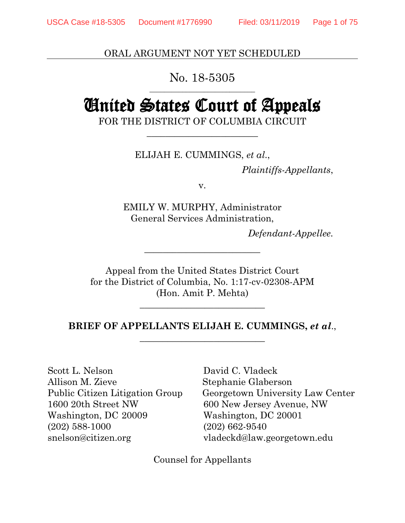ORAL ARGUMENT NOT YET SCHEDULED

### No. 18-5305 \_\_\_\_\_\_\_\_\_\_\_\_\_\_\_\_\_\_\_\_\_\_\_\_\_\_\_\_\_

# United States Court of Appeals

FOR THE DISTRICT OF COLUMBIA CIRCUIT \_\_\_\_\_\_\_\_\_\_\_\_\_\_\_\_\_\_\_\_\_\_\_\_

ELIJAH E. CUMMINGS, *et al*.,

*Plaintiffs-Appellants*,

v.

EMILY W. MURPHY, Administrator General Services Administration,

*Defendant-Appellee.*

Appeal from the United States District Court for the District of Columbia, No. 1:17-cv-02308-APM (Hon. Amit P. Mehta)

\_\_\_\_\_\_\_\_\_\_\_\_\_\_\_\_\_\_\_\_\_\_\_\_\_

## **BRIEF OF APPELLANTS ELIJAH E. CUMMINGS,** *et al*., \_\_\_\_\_\_\_\_\_\_\_\_\_\_\_\_\_\_\_\_\_\_\_\_\_\_\_

\_\_\_\_\_\_\_\_\_\_\_\_\_\_\_\_\_\_\_\_\_\_\_\_\_\_\_

Scott L. Nelson David C. Vladeck Allison M. Zieve Stephanie Glaberson 1600 20th Street NW 600 New Jersey Avenue, NW Washington, DC 20009 Washington, DC 20001 (202) 588-1000 (202) 662-9540 snelson@citizen.org vladeckd@law.georgetown.edu

Public Citizen Litigation Group Georgetown University Law Center

Counsel for Appellants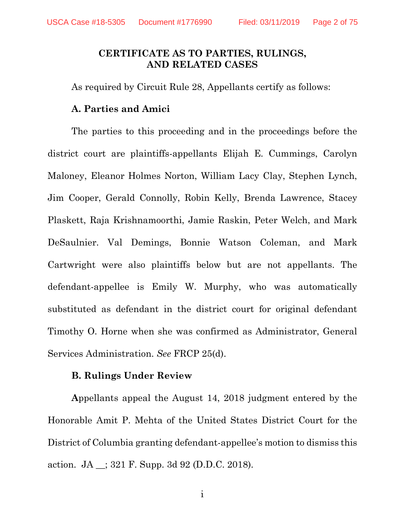### **CERTIFICATE AS TO PARTIES, RULINGS, AND RELATED CASES**

As required by Circuit Rule 28, Appellants certify as follows:

#### **A. Parties and Amici**

The parties to this proceeding and in the proceedings before the district court are plaintiffs-appellants Elijah E. Cummings, Carolyn Maloney, Eleanor Holmes Norton, William Lacy Clay, Stephen Lynch, Jim Cooper, Gerald Connolly, Robin Kelly, Brenda Lawrence, Stacey Plaskett, Raja Krishnamoorthi, Jamie Raskin, Peter Welch, and Mark DeSaulnier. Val Demings, Bonnie Watson Coleman, and Mark Cartwright were also plaintiffs below but are not appellants. The defendant-appellee is Emily W. Murphy, who was automatically substituted as defendant in the district court for original defendant Timothy O. Horne when she was confirmed as Administrator, General Services Administration. *See* FRCP 25(d).

#### **B. Rulings Under Review**

**A**ppellants appeal the August 14, 2018 judgment entered by the Honorable Amit P. Mehta of the United States District Court for the District of Columbia granting defendant-appellee's motion to dismiss this action. JA \_\_; 321 F. Supp. 3d 92 (D.D.C. 2018).

i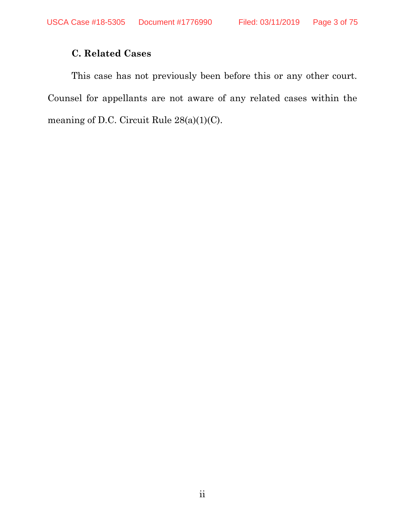## **C. Related Cases**

This case has not previously been before this or any other court. Counsel for appellants are not aware of any related cases within the meaning of D.C. Circuit Rule 28(a)(1)(C).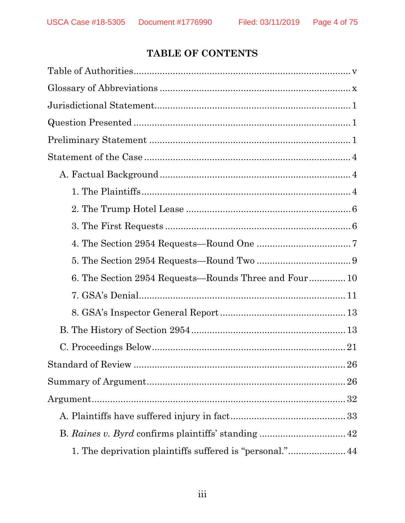## TABLE OF CONTENTS

| 6. The Section 2954 Requests—Rounds Three and Four 10 |
|-------------------------------------------------------|
|                                                       |
|                                                       |
|                                                       |
|                                                       |
|                                                       |
|                                                       |
|                                                       |
|                                                       |
| B. Raines v. Byrd confirms plaintiffs' standing  42   |
|                                                       |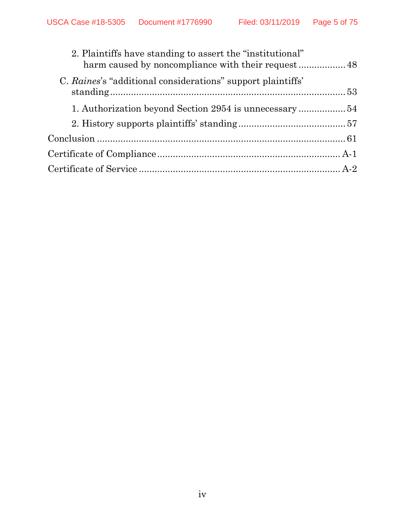| 2. Plaintiffs have standing to assert the "institutional"   |  |
|-------------------------------------------------------------|--|
| C. Raines's "additional considerations" support plaintiffs' |  |
|                                                             |  |
|                                                             |  |
|                                                             |  |
|                                                             |  |
|                                                             |  |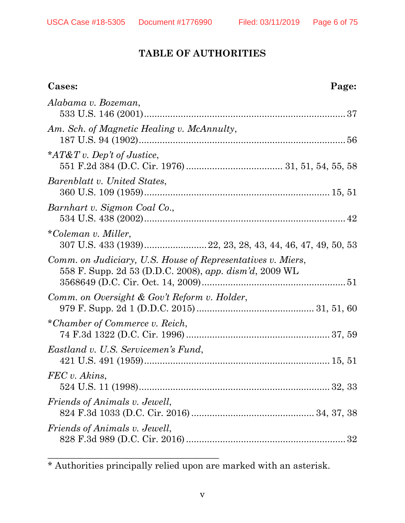## **TABLE OF AUTHORITIES**

| Cases:                                                                                                                | Page: |
|-----------------------------------------------------------------------------------------------------------------------|-------|
| Alabama v. Bozeman,                                                                                                   |       |
| Am. Sch. of Magnetic Healing v. McAnnulty,                                                                            |       |
| * $AT\&T v$ . Dep't of Justice,                                                                                       |       |
| Barenblatt v. United States,                                                                                          |       |
| Barnhart v. Sigmon Coal Co.,                                                                                          |       |
| *Coleman v. Miller,                                                                                                   |       |
| Comm. on Judiciary, U.S. House of Representatives v. Miers,<br>558 F. Supp. 2d 53 (D.D.C. 2008), app. dism'd, 2009 WL |       |
| Comm. on Oversight & Gov't Reform v. Holder,                                                                          |       |
| *Chamber of Commerce v. Reich,                                                                                        |       |
| Eastland v. U.S. Servicemen's Fund,                                                                                   |       |
| FEC v. Akins,                                                                                                         |       |
| Friends of Animals v. Jewell,                                                                                         |       |
| <i>Friends of Animals v. Jewell,</i>                                                                                  |       |

\* Authorities principally relied upon are marked with an asterisk.

\_\_\_\_\_\_\_\_\_\_\_\_\_\_\_\_\_\_\_\_\_\_\_\_\_\_\_\_\_\_\_\_\_\_\_\_\_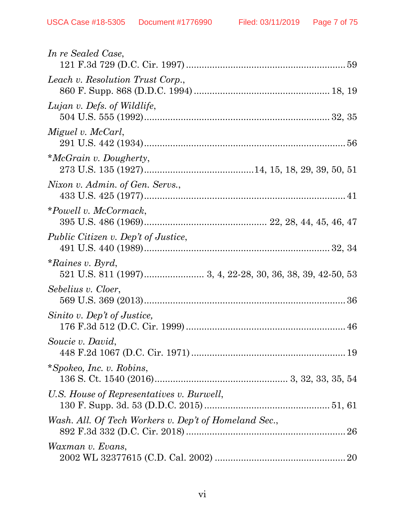| In re Sealed Case,                                    |
|-------------------------------------------------------|
| Leach v. Resolution Trust Corp.,                      |
| Lujan v. Defs. of Wildlife,                           |
| Miguel v. McCarl,                                     |
| *McGrain v. Dougherty,                                |
| Nixon v. Admin. of Gen. Servs.,                       |
| *Powell v. McCormack,                                 |
| <i>Public Citizen v. Dep't of Justice,</i>            |
| $*Raines v. Byrd,$                                    |
| Sebelius v. Cloer,                                    |
| Sinito v. Dep't of Justice,                           |
| Soucie v. David,                                      |
| *Spokeo, Inc. v. Robins,                              |
| U.S. House of Representatives v. Burwell,             |
| Wash. All. Of Tech Workers v. Dep't of Homeland Sec., |
| Waxman v. Evans,                                      |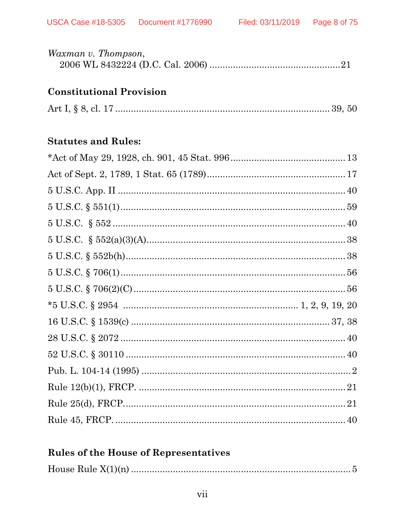| Waxman v. Thompson, |  |  |  |
|---------------------|--|--|--|
|                     |  |  |  |

## **Constitutional Provision**

|--|--|--|--|

## **Statutes and Rules:**

| $5 \text{ U.S.C.} \S 551(1) \dots 59$ |  |
|---------------------------------------|--|
|                                       |  |
|                                       |  |
|                                       |  |
|                                       |  |
|                                       |  |
|                                       |  |
|                                       |  |
|                                       |  |
|                                       |  |
|                                       |  |
|                                       |  |
|                                       |  |
|                                       |  |

## **Rules of the House of Representatives**

|--|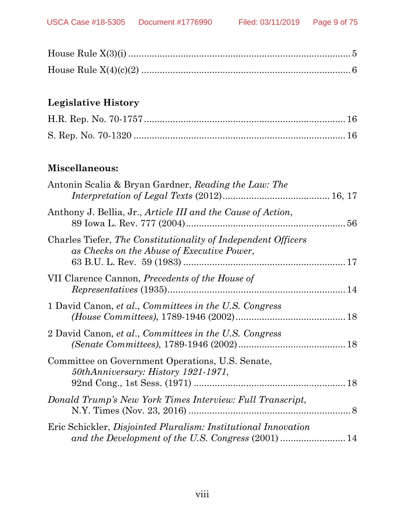## **Legislative History**

## **Miscellaneous:**

| Antonin Scalia & Bryan Gardner, Reading the Law: The                                                        |  |
|-------------------------------------------------------------------------------------------------------------|--|
| Anthony J. Bellia, Jr., Article III and the Cause of Action,                                                |  |
| Charles Tiefer, The Constitutionality of Independent Officers<br>as Checks on the Abuse of Executive Power, |  |
| VII Clarence Cannon, Precedents of the House of                                                             |  |
| 1 David Canon, et al., Committees in the U.S. Congress                                                      |  |
| 2 David Canon, et al., Committees in the U.S. Congress                                                      |  |
| Committee on Government Operations, U.S. Senate,<br>50thAnniversary: History 1921-1971,                     |  |
| Donald Trump's New York Times Interview: Full Transcript,                                                   |  |
| Eric Schickler, Disjointed Pluralism: Institutional Innovation                                              |  |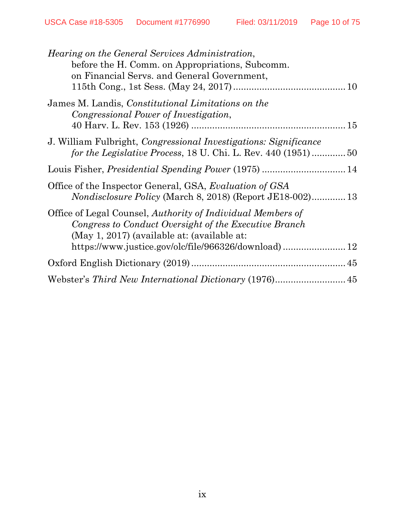| <i>Hearing on the General Services Administration,</i><br>before the H. Comm. on Appropriations, Subcomm.<br>on Financial Servs. and General Government,            |
|---------------------------------------------------------------------------------------------------------------------------------------------------------------------|
| James M. Landis, <i>Constitutional Limitations on the</i>                                                                                                           |
| Congressional Power of Investigation,                                                                                                                               |
| J. William Fulbright, <i>Congressional Investigations: Significance</i><br>for the Legislative Process, 18 U. Chi. L. Rev. 440 (1951)50                             |
|                                                                                                                                                                     |
| Office of the Inspector General, GSA, <i>Evaluation of GSA</i><br><i>Nondisclosure Policy</i> (March 8, 2018) (Report JE18-002) 13                                  |
| Office of Legal Counsel, Authority of Individual Members of<br>Congress to Conduct Oversight of the Executive Branch<br>(May 1, 2017) (available at: (available at: |
|                                                                                                                                                                     |
|                                                                                                                                                                     |
|                                                                                                                                                                     |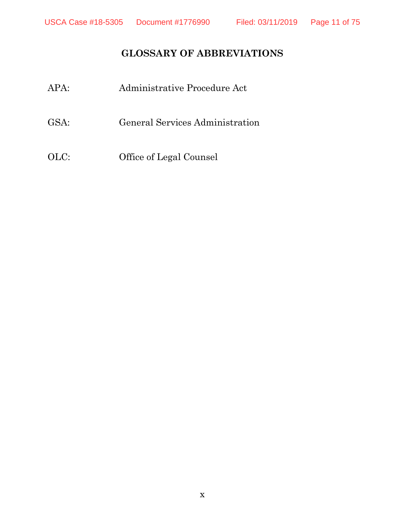## **GLOSSARY OF ABBREVIATIONS**

- APA: Administrative Procedure Act
- GSA: General Services Administration
- OLC: Office of Legal Counsel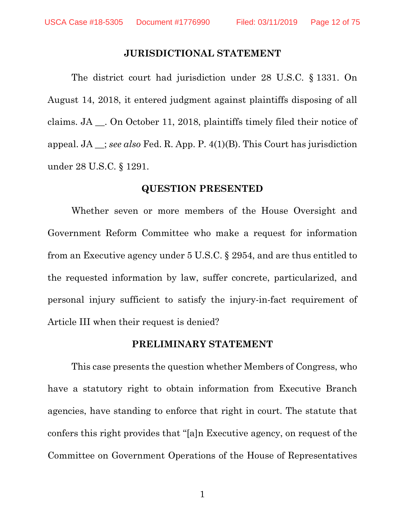#### **JURISDICTIONAL STATEMENT**

The district court had jurisdiction under 28 U.S.C. § 1331. On August 14, 2018, it entered judgment against plaintiffs disposing of all claims. JA \_\_. On October 11, 2018, plaintiffs timely filed their notice of appeal. JA \_\_; *see also* Fed. R. App. P. 4(1)(B). This Court has jurisdiction under 28 U.S.C. § 1291.

#### **QUESTION PRESENTED**

Whether seven or more members of the House Oversight and Government Reform Committee who make a request for information from an Executive agency under 5 U.S.C. § 2954, and are thus entitled to the requested information by law, suffer concrete, particularized, and personal injury sufficient to satisfy the injury-in-fact requirement of Article III when their request is denied?

#### **PRELIMINARY STATEMENT**

This case presents the question whether Members of Congress, who have a statutory right to obtain information from Executive Branch agencies, have standing to enforce that right in court. The statute that confers this right provides that "[a]n Executive agency, on request of the Committee on Government Operations of the House of Representatives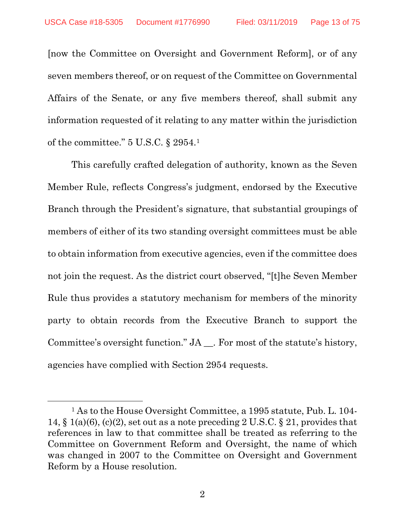[now the Committee on Oversight and Government Reform], or of any seven members thereof, or on request of the Committee on Governmental Affairs of the Senate, or any five members thereof, shall submit any information requested of it relating to any matter within the jurisdiction of the committee." 5 U.S.C. § 2954.[1](#page-12-0)

This carefully crafted delegation of authority, known as the Seven Member Rule, reflects Congress's judgment, endorsed by the Executive Branch through the President's signature, that substantial groupings of members of either of its two standing oversight committees must be able to obtain information from executive agencies, even if the committee does not join the request. As the district court observed, "[t]he Seven Member Rule thus provides a statutory mechanism for members of the minority party to obtain records from the Executive Branch to support the Committee's oversight function." JA \_\_. For most of the statute's history, agencies have complied with Section 2954 requests.

 $\overline{\phantom{a}}$ 

<span id="page-12-0"></span><sup>1</sup> As to the House Oversight Committee, a 1995 statute, Pub. L. 104- 14,  $\S$  1(a)(6), (c)(2), set out as a note preceding 2 U.S.C.  $\S$  21, provides that references in law to that committee shall be treated as referring to the Committee on Government Reform and Oversight, the name of which was changed in 2007 to the Committee on Oversight and Government Reform by a House resolution.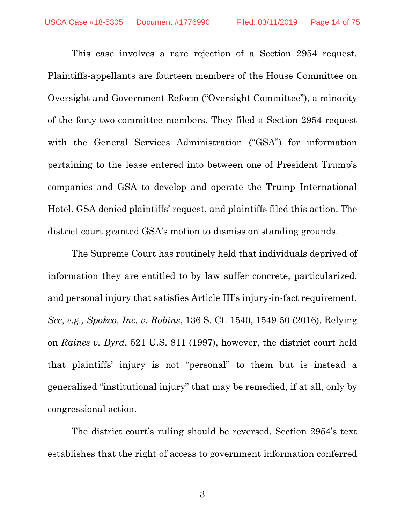This case involves a rare rejection of a Section 2954 request. Plaintiffs-appellants are fourteen members of the House Committee on Oversight and Government Reform ("Oversight Committee"), a minority of the forty-two committee members. They filed a Section 2954 request with the General Services Administration ("GSA") for information pertaining to the lease entered into between one of President Trump's companies and GSA to develop and operate the Trump International Hotel. GSA denied plaintiffs' request, and plaintiffs filed this action. The district court granted GSA's motion to dismiss on standing grounds.

The Supreme Court has routinely held that individuals deprived of information they are entitled to by law suffer concrete, particularized, and personal injury that satisfies Article III's injury-in-fact requirement. *See, e.g., Spokeo, Inc. v. Robins*, 136 S. Ct. 1540, 1549-50 (2016). Relying on *Raines v. Byrd*, 521 U.S. 811 (1997), however, the district court held that plaintiffs' injury is not "personal" to them but is instead a generalized "institutional injury" that may be remedied, if at all, only by congressional action.

The district court's ruling should be reversed. Section 2954's text establishes that the right of access to government information conferred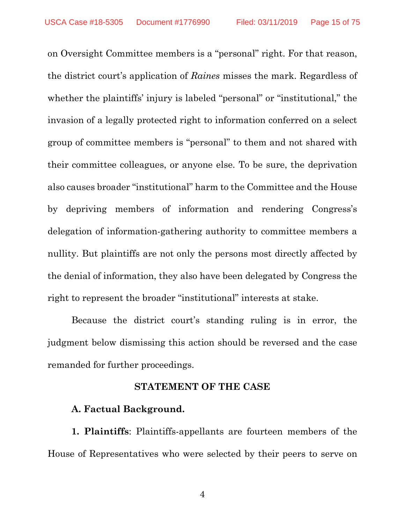on Oversight Committee members is a "personal" right. For that reason, the district court's application of *Raines* misses the mark. Regardless of whether the plaintiffs' injury is labeled "personal" or "institutional," the invasion of a legally protected right to information conferred on a select group of committee members is "personal" to them and not shared with their committee colleagues, or anyone else. To be sure, the deprivation also causes broader "institutional" harm to the Committee and the House by depriving members of information and rendering Congress's delegation of information-gathering authority to committee members a nullity. But plaintiffs are not only the persons most directly affected by the denial of information, they also have been delegated by Congress the right to represent the broader "institutional" interests at stake.

Because the district court's standing ruling is in error, the judgment below dismissing this action should be reversed and the case remanded for further proceedings.

#### **STATEMENT OF THE CASE**

#### **A. Factual Background.**

**1. Plaintiffs**: Plaintiffs-appellants are fourteen members of the House of Representatives who were selected by their peers to serve on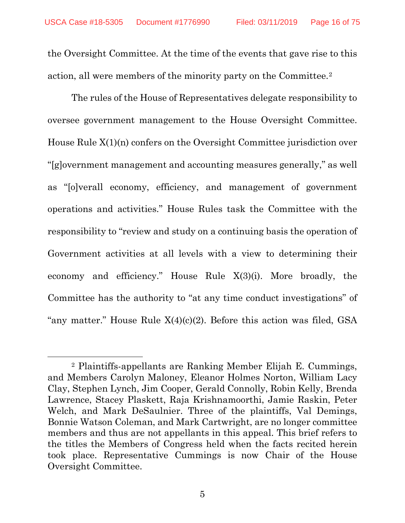the Oversight Committee. At the time of the events that gave rise to this action, all were members of the minority party on the Committee.[2](#page-15-0)

The rules of the House of Representatives delegate responsibility to oversee government management to the House Oversight Committee. House Rule X(1)(n) confers on the Oversight Committee jurisdiction over "[g]overnment management and accounting measures generally," as well as "[o]verall economy, efficiency, and management of government operations and activities." House Rules task the Committee with the responsibility to "review and study on a continuing basis the operation of Government activities at all levels with a view to determining their economy and efficiency." House Rule X(3)(i). More broadly, the Committee has the authority to "at any time conduct investigations" of "any matter." House Rule  $X(4)(c)(2)$ . Before this action was filed, GSA

l

<span id="page-15-0"></span><sup>2</sup> Plaintiffs-appellants are Ranking Member Elijah E. Cummings, and Members Carolyn Maloney, Eleanor Holmes Norton, William Lacy Clay, Stephen Lynch, Jim Cooper, Gerald Connolly, Robin Kelly, Brenda Lawrence, Stacey Plaskett, Raja Krishnamoorthi, Jamie Raskin, Peter Welch, and Mark DeSaulnier. Three of the plaintiffs, Val Demings, Bonnie Watson Coleman, and Mark Cartwright, are no longer committee members and thus are not appellants in this appeal. This brief refers to the titles the Members of Congress held when the facts recited herein took place. Representative Cummings is now Chair of the House Oversight Committee.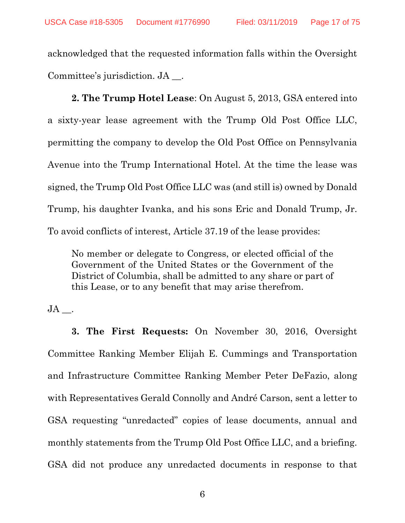acknowledged that the requested information falls within the Oversight Committee's jurisdiction. JA \_\_.

**2. The Trump Hotel Lease**: On August 5, 2013, GSA entered into a sixty-year lease agreement with the Trump Old Post Office LLC, permitting the company to develop the Old Post Office on Pennsylvania Avenue into the Trump International Hotel. At the time the lease was signed, the Trump Old Post Office LLC was (and still is) owned by Donald Trump, his daughter Ivanka, and his sons Eric and Donald Trump, Jr. To avoid conflicts of interest, Article 37.19 of the lease provides:

No member or delegate to Congress, or elected official of the Government of the United States or the Government of the District of Columbia, shall be admitted to any share or part of this Lease, or to any benefit that may arise therefrom.

 $JA$ .

**3. The First Requests:** On November 30, 2016, Oversight Committee Ranking Member Elijah E. Cummings and Transportation and Infrastructure Committee Ranking Member Peter DeFazio, along with Representatives Gerald Connolly and André Carson, sent a letter to GSA requesting "unredacted" copies of lease documents, annual and monthly statements from the Trump Old Post Office LLC, and a briefing. GSA did not produce any unredacted documents in response to that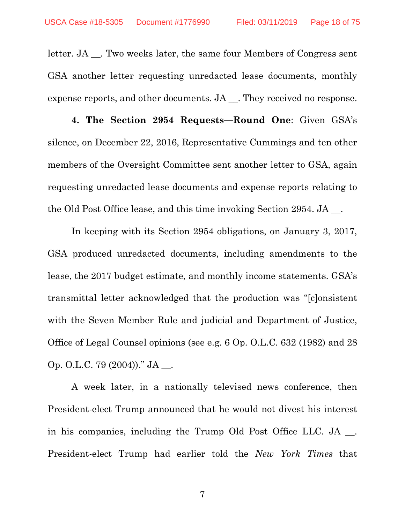letter. JA \_\_. Two weeks later, the same four Members of Congress sent GSA another letter requesting unredacted lease documents, monthly expense reports, and other documents. JA \_\_. They received no response.

**4. The Section 2954 Requests—Round One**: Given GSA's silence, on December 22, 2016, Representative Cummings and ten other members of the Oversight Committee sent another letter to GSA, again requesting unredacted lease documents and expense reports relating to the Old Post Office lease, and this time invoking Section 2954. JA \_\_.

In keeping with its Section 2954 obligations, on January 3, 2017, GSA produced unredacted documents, including amendments to the lease, the 2017 budget estimate, and monthly income statements. GSA's transmittal letter acknowledged that the production was "[c]onsistent with the Seven Member Rule and judicial and Department of Justice, Office of Legal Counsel opinions (see e.g. 6 Op. O.L.C. 632 (1982) and 28 Op. O.L.C. 79 (2004))." JA \_\_.

A week later, in a nationally televised news conference, then President-elect Trump announced that he would not divest his interest in his companies, including the Trump Old Post Office LLC. JA . President-elect Trump had earlier told the *New York Times* that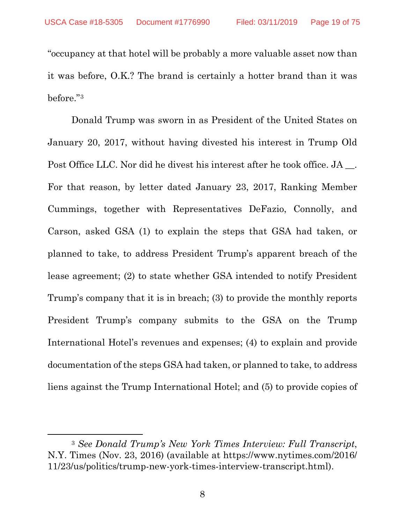"occupancy at that hotel will be probably a more valuable asset now than it was before, O.K.? The brand is certainly a hotter brand than it was before."[3](#page-18-0)

Donald Trump was sworn in as President of the United States on January 20, 2017, without having divested his interest in Trump Old Post Office LLC. Nor did he divest his interest after he took office. JA \_\_. For that reason, by letter dated January 23, 2017, Ranking Member Cummings, together with Representatives DeFazio, Connolly, and Carson, asked GSA (1) to explain the steps that GSA had taken, or planned to take, to address President Trump's apparent breach of the lease agreement; (2) to state whether GSA intended to notify President Trump's company that it is in breach; (3) to provide the monthly reports President Trump's company submits to the GSA on the Trump International Hotel's revenues and expenses; (4) to explain and provide documentation of the steps GSA had taken, or planned to take, to address liens against the Trump International Hotel; and (5) to provide copies of

l

<span id="page-18-0"></span><sup>3</sup> *See Donald Trump's New York Times Interview: Full Transcript*, N.Y. Times (Nov. 23, 2016) (available at https://www.nytimes.com/2016/ 11/23/us/politics/trump-new-york-times-interview-transcript.html).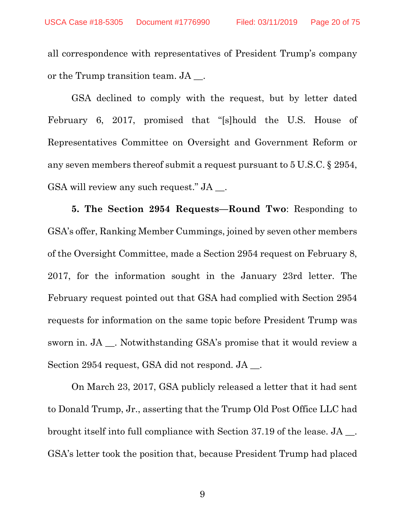all correspondence with representatives of President Trump's company or the Trump transition team. JA  $\blacksquare$ .

GSA declined to comply with the request, but by letter dated February 6, 2017, promised that "[s]hould the U.S. House of Representatives Committee on Oversight and Government Reform or any seven members thereof submit a request pursuant to 5 U.S.C. § 2954, GSA will review any such request." JA \_\_.

**5. The Section 2954 Requests—Round Two**: Responding to GSA's offer, Ranking Member Cummings, joined by seven other members of the Oversight Committee, made a Section 2954 request on February 8, 2017, for the information sought in the January 23rd letter. The February request pointed out that GSA had complied with Section 2954 requests for information on the same topic before President Trump was sworn in. JA \_\_. Notwithstanding GSA's promise that it would review a Section 2954 request, GSA did not respond. JA \_\_.

On March 23, 2017, GSA publicly released a letter that it had sent to Donald Trump, Jr., asserting that the Trump Old Post Office LLC had brought itself into full compliance with Section 37.19 of the lease. JA \_\_. GSA's letter took the position that, because President Trump had placed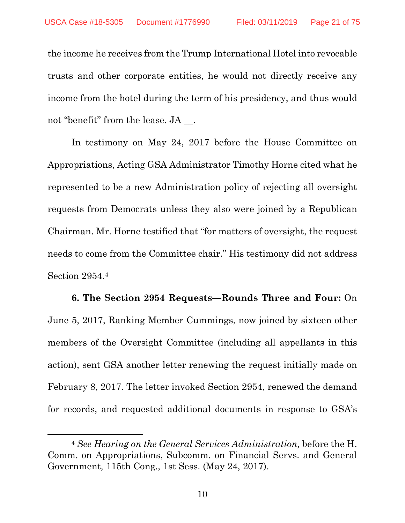the income he receives from the Trump International Hotel into revocable trusts and other corporate entities, he would not directly receive any income from the hotel during the term of his presidency, and thus would not "benefit" from the lease. JA \_\_.

In testimony on May 24, 2017 before the House Committee on Appropriations, Acting GSA Administrator Timothy Horne cited what he represented to be a new Administration policy of rejecting all oversight requests from Democrats unless they also were joined by a Republican Chairman. Mr. Horne testified that "for matters of oversight, the request needs to come from the Committee chair." His testimony did not address Section 2954.[4](#page-20-0)

**6. The Section 2954 Requests—Rounds Three and Four:** On June 5, 2017, Ranking Member Cummings, now joined by sixteen other members of the Oversight Committee (including all appellants in this action), sent GSA another letter renewing the request initially made on February 8, 2017. The letter invoked Section 2954, renewed the demand for records, and requested additional documents in response to GSA's

l

<span id="page-20-0"></span><sup>4</sup> *See Hearing on the General Services Administration,* before the H. Comm. on Appropriations, Subcomm. on Financial Servs. and General Government*,* 115th Cong., 1st Sess. (May 24, 2017).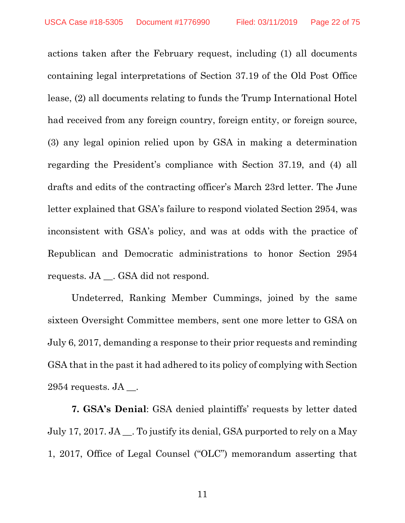actions taken after the February request, including (1) all documents containing legal interpretations of Section 37.19 of the Old Post Office lease, (2) all documents relating to funds the Trump International Hotel had received from any foreign country, foreign entity, or foreign source, (3) any legal opinion relied upon by GSA in making a determination regarding the President's compliance with Section 37.19, and (4) all drafts and edits of the contracting officer's March 23rd letter. The June letter explained that GSA's failure to respond violated Section 2954, was inconsistent with GSA's policy, and was at odds with the practice of Republican and Democratic administrations to honor Section 2954 requests. JA \_\_. GSA did not respond.

Undeterred, Ranking Member Cummings, joined by the same sixteen Oversight Committee members, sent one more letter to GSA on July 6, 2017, demanding a response to their prior requests and reminding GSA that in the past it had adhered to its policy of complying with Section  $2954$  requests. JA  $\_\_$ .

**7. GSA's Denial**: GSA denied plaintiffs' requests by letter dated July 17, 2017. JA \_\_. To justify its denial, GSA purported to rely on a May 1, 2017, Office of Legal Counsel ("OLC") memorandum asserting that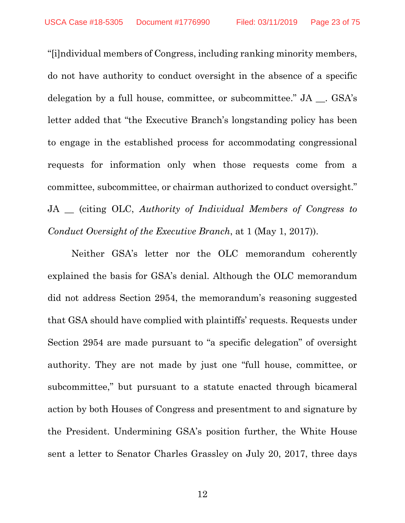"[i]ndividual members of Congress, including ranking minority members, do not have authority to conduct oversight in the absence of a specific delegation by a full house, committee, or subcommittee." JA . GSA's letter added that "the Executive Branch's longstanding policy has been to engage in the established process for accommodating congressional requests for information only when those requests come from a committee, subcommittee, or chairman authorized to conduct oversight." JA \_\_ (citing OLC, *Authority of Individual Members of Congress to Conduct Oversight of the Executive Branch*, at 1 (May 1, 2017)).

Neither GSA's letter nor the OLC memorandum coherently explained the basis for GSA's denial. Although the OLC memorandum did not address Section 2954, the memorandum's reasoning suggested that GSA should have complied with plaintiffs' requests. Requests under Section 2954 are made pursuant to "a specific delegation" of oversight authority. They are not made by just one "full house, committee, or subcommittee," but pursuant to a statute enacted through bicameral action by both Houses of Congress and presentment to and signature by the President. Undermining GSA's position further, the White House sent a letter to Senator Charles Grassley on July 20, 2017, three days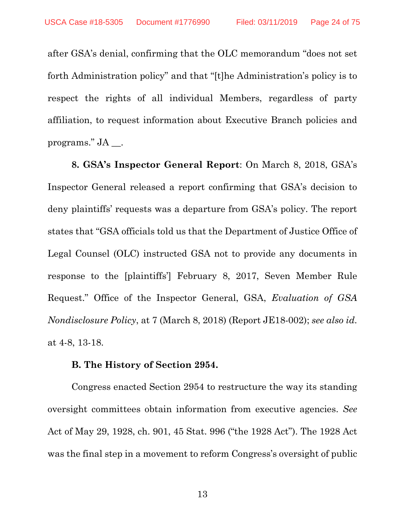after GSA's denial, confirming that the OLC memorandum "does not set forth Administration policy" and that "[t]he Administration's policy is to respect the rights of all individual Members, regardless of party affiliation, to request information about Executive Branch policies and programs." JA \_\_.

**8. GSA's Inspector General Report**: On March 8, 2018, GSA's Inspector General released a report confirming that GSA's decision to deny plaintiffs' requests was a departure from GSA's policy. The report states that "GSA officials told us that the Department of Justice Office of Legal Counsel (OLC) instructed GSA not to provide any documents in response to the [plaintiffs'] February 8, 2017, Seven Member Rule Request." Office of the Inspector General, GSA, *Evaluation of GSA Nondisclosure Policy*, at 7 (March 8, 2018) (Report JE18-002); *see also id*. at 4-8, 13-18.

#### **B. The History of Section 2954.**

Congress enacted Section 2954 to restructure the way its standing oversight committees obtain information from executive agencies. *See*  Act of May 29, 1928, ch. 901, 45 Stat. 996 ("the 1928 Act"). The 1928 Act was the final step in a movement to reform Congress's oversight of public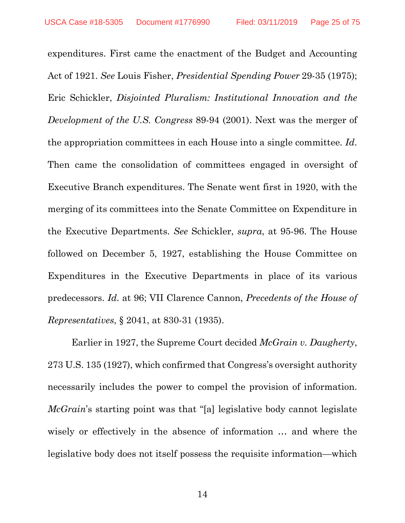expenditures. First came the enactment of the Budget and Accounting Act of 1921. *See* Louis Fisher, *Presidential Spending Power* 29-35 (1975); Eric Schickler, *Disjointed Pluralism: Institutional Innovation and the Development of the U.S. Congress* 89-94 (2001). Next was the merger of the appropriation committees in each House into a single committee. *Id*. Then came the consolidation of committees engaged in oversight of Executive Branch expenditures. The Senate went first in 1920, with the merging of its committees into the Senate Committee on Expenditure in the Executive Departments. *See* Schickler, *supra*, at 95-96. The House followed on December 5, 1927, establishing the House Committee on Expenditures in the Executive Departments in place of its various predecessors. *Id.* at 96; VII Clarence Cannon, *Precedents of the House of Representatives*, § 2041, at 830-31 (1935).

Earlier in 1927, the Supreme Court decided *McGrain v. Daugherty*, 273 U.S. 135 (1927), which confirmed that Congress's oversight authority necessarily includes the power to compel the provision of information. *McGrain*'s starting point was that "[a] legislative body cannot legislate wisely or effectively in the absence of information … and where the legislative body does not itself possess the requisite information—which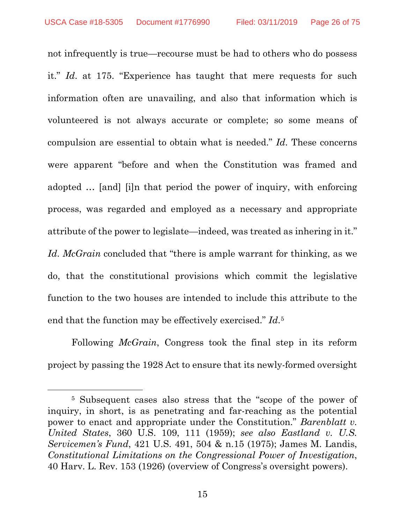not infrequently is true—recourse must be had to others who do possess it." *Id*. at 175. "Experience has taught that mere requests for such information often are unavailing, and also that information which is volunteered is not always accurate or complete; so some means of compulsion are essential to obtain what is needed." *Id*. These concerns were apparent "before and when the Constitution was framed and adopted … [and] [i]n that period the power of inquiry, with enforcing process, was regarded and employed as a necessary and appropriate attribute of the power to legislate—indeed, was treated as inhering in it." *Id*. *McGrain* concluded that "there is ample warrant for thinking, as we do, that the constitutional provisions which commit the legislative function to the two houses are intended to include this attribute to the end that the function may be effectively exercised." *Id*.[5](#page-25-0)

Following *McGrain*, Congress took the final step in its reform project by passing the 1928 Act to ensure that its newly-formed oversight

 $\overline{\phantom{a}}$ 

<span id="page-25-0"></span><sup>5</sup> Subsequent cases also stress that the "scope of the power of inquiry, in short, is as penetrating and far-reaching as the potential power to enact and appropriate under the Constitution." *Barenblatt v. United States*, 360 U.S. 109, 111 (1959); *see also Eastland v. U.S. Servicemen's Fund*, 421 U.S. 491, 504 & n.15 (1975); James M. Landis, *Constitutional Limitations on the Congressional Power of Investigation*, 40 Harv. L. Rev. 153 (1926) (overview of Congress's oversight powers).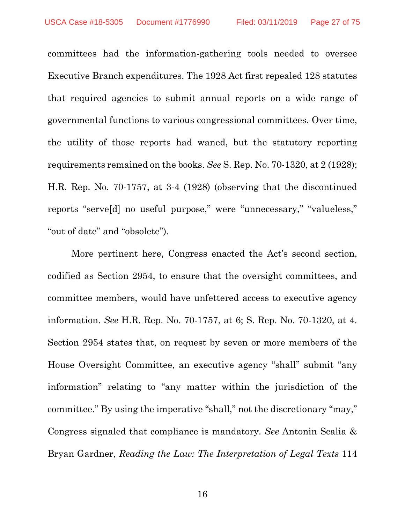committees had the information-gathering tools needed to oversee Executive Branch expenditures. The 1928 Act first repealed 128 statutes that required agencies to submit annual reports on a wide range of governmental functions to various congressional committees. Over time, the utility of those reports had waned, but the statutory reporting requirements remained on the books. *See* S. Rep. No. 70-1320, at 2 (1928); H.R. Rep. No. 70-1757, at 3-4 (1928) (observing that the discontinued reports "serve[d] no useful purpose," were "unnecessary," "valueless," "out of date" and "obsolete").

More pertinent here, Congress enacted the Act's second section, codified as Section 2954, to ensure that the oversight committees, and committee members, would have unfettered access to executive agency information. *See* H.R. Rep. No. 70-1757, at 6; S. Rep. No. 70-1320, at 4. Section 2954 states that, on request by seven or more members of the House Oversight Committee, an executive agency "shall" submit "any information" relating to "any matter within the jurisdiction of the committee." By using the imperative "shall," not the discretionary "may," Congress signaled that compliance is mandatory. *See* Antonin Scalia & Bryan Gardner, *Reading the Law: The Interpretation of Legal Texts* 114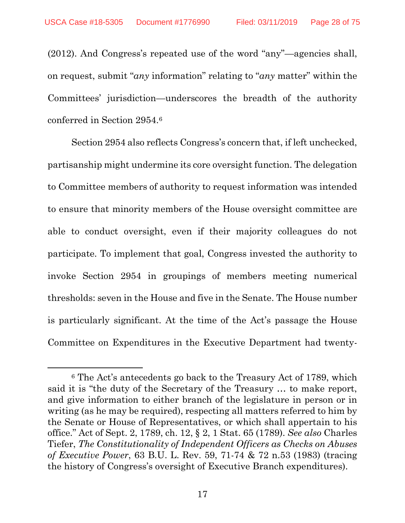$\overline{\phantom{a}}$ 

(2012). And Congress's repeated use of the word "any"—agencies shall, on request, submit "*any* information" relating to "*any* matter" within the Committees' jurisdiction—underscores the breadth of the authority conferred in Section 2954[.6](#page-27-0)

Section 2954 also reflects Congress's concern that, if left unchecked, partisanship might undermine its core oversight function. The delegation to Committee members of authority to request information was intended to ensure that minority members of the House oversight committee are able to conduct oversight, even if their majority colleagues do not participate. To implement that goal, Congress invested the authority to invoke Section 2954 in groupings of members meeting numerical thresholds: seven in the House and five in the Senate. The House number is particularly significant. At the time of the Act's passage the House Committee on Expenditures in the Executive Department had twenty-

<span id="page-27-0"></span><sup>6</sup> The Act's antecedents go back to the Treasury Act of 1789, which said it is "the duty of the Secretary of the Treasury … to make report, and give information to either branch of the legislature in person or in writing (as he may be required), respecting all matters referred to him by the Senate or House of Representatives, or which shall appertain to his office." Act of Sept. 2, 1789, ch. 12, § 2, 1 Stat. 65 (1789). *See also* Charles Tiefer, *The Constitutionality of Independent Officers as Checks on Abuses of Executive Power*, 63 B.U. L. Rev. 59, 71-74 & 72 n.53 (1983) (tracing the history of Congress's oversight of Executive Branch expenditures).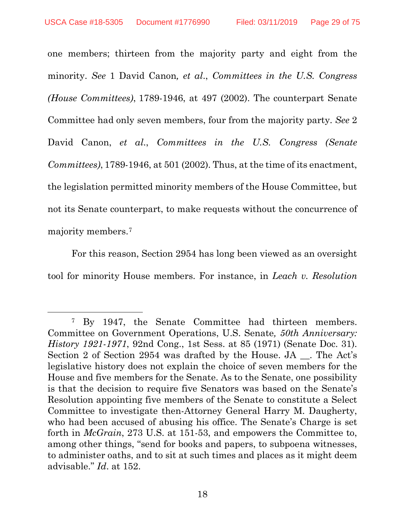l

one members; thirteen from the majority party and eight from the minority. *See* 1 David Canon*, et al*., *Committees in the U.S. Congress (House Committees)*, 1789-1946, at 497 (2002). The counterpart Senate Committee had only seven members, four from the majority party. *See* 2 David Canon, *et al.*, *Committees in the U.S. Congress (Senate Committees)*, 1789-1946, at 501 (2002). Thus, at the time of its enactment, the legislation permitted minority members of the House Committee, but not its Senate counterpart, to make requests without the concurrence of majority members.[7](#page-28-0)

For this reason, Section 2954 has long been viewed as an oversight tool for minority House members. For instance, in *Leach v. Resolution* 

<span id="page-28-0"></span><sup>7</sup> By 1947, the Senate Committee had thirteen members. Committee on Government Operations, U.S. Senate*, 50th Anniversary: History 1921-1971*, 92nd Cong., 1st Sess. at 85 (1971) (Senate Doc. 31). Section 2 of Section 2954 was drafted by the House. JA \_\_. The Act's legislative history does not explain the choice of seven members for the House and five members for the Senate. As to the Senate, one possibility is that the decision to require five Senators was based on the Senate's Resolution appointing five members of the Senate to constitute a Select Committee to investigate then-Attorney General Harry M. Daugherty, who had been accused of abusing his office. The Senate's Charge is set forth in *McGrain*, 273 U.S. at 151-53, and empowers the Committee to, among other things, "send for books and papers, to subpoena witnesses, to administer oaths, and to sit at such times and places as it might deem advisable." *Id*. at 152.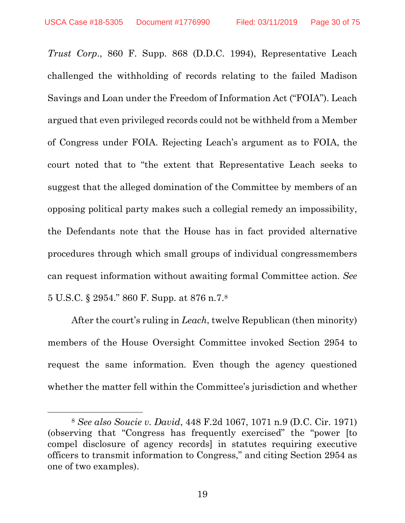$\overline{\phantom{a}}$ 

*Trust Corp*., 860 F. Supp. 868 (D.D.C. 1994), Representative Leach challenged the withholding of records relating to the failed Madison Savings and Loan under the Freedom of Information Act ("FOIA"). Leach argued that even privileged records could not be withheld from a Member of Congress under FOIA. Rejecting Leach's argument as to FOIA, the court noted that to "the extent that Representative Leach seeks to suggest that the alleged domination of the Committee by members of an opposing political party makes such a collegial remedy an impossibility, the Defendants note that the House has in fact provided alternative procedures through which small groups of individual congressmembers can request information without awaiting formal Committee action. *See* 5 U.S.C. § 2954." 860 F. Supp. at 876 n.7.[8](#page-29-0)

After the court's ruling in *Leach*, twelve Republican (then minority) members of the House Oversight Committee invoked Section 2954 to request the same information. Even though the agency questioned whether the matter fell within the Committee's jurisdiction and whether

<span id="page-29-0"></span><sup>8</sup> *See also Soucie v. David*, 448 F.2d 1067, 1071 n.9 (D.C. Cir. 1971) (observing that "Congress has frequently exercised" the "power [to compel disclosure of agency records] in statutes requiring executive officers to transmit information to Congress," and citing Section 2954 as one of two examples).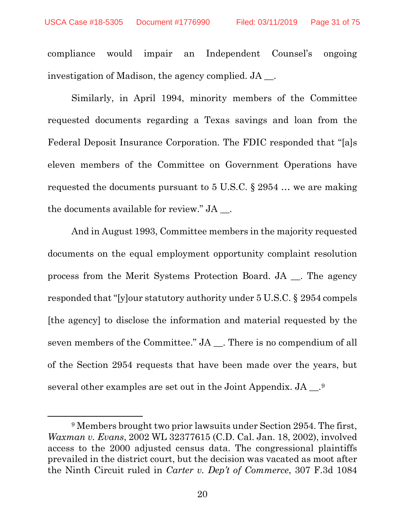$\overline{\phantom{a}}$ 

compliance would impair an Independent Counsel's ongoing investigation of Madison, the agency complied. JA \_\_.

Similarly, in April 1994, minority members of the Committee requested documents regarding a Texas savings and loan from the Federal Deposit Insurance Corporation. The FDIC responded that "[a]s eleven members of the Committee on Government Operations have requested the documents pursuant to 5 U.S.C. § 2954 … we are making the documents available for review." JA \_\_.

And in August 1993, Committee members in the majority requested documents on the equal employment opportunity complaint resolution process from the Merit Systems Protection Board. JA \_\_. The agency responded that "[y]our statutory authority under 5 U.S.C. § 2954 compels [the agency] to disclose the information and material requested by the seven members of the Committee." JA \_\_. There is no compendium of all of the Section 2954 requests that have been made over the years, but several other examples are set out in the Joint Appendix. JA \_\_.[9](#page-30-0)

<span id="page-30-0"></span><sup>9</sup> Members brought two prior lawsuits under Section 2954. The first, *Waxman v. Evans*, 2002 WL 32377615 (C.D. Cal. Jan. 18, 2002), involved access to the 2000 adjusted census data. The congressional plaintiffs prevailed in the district court, but the decision was vacated as moot after the Ninth Circuit ruled in *Carter v. Dep't of Commerce*, 307 F.3d 1084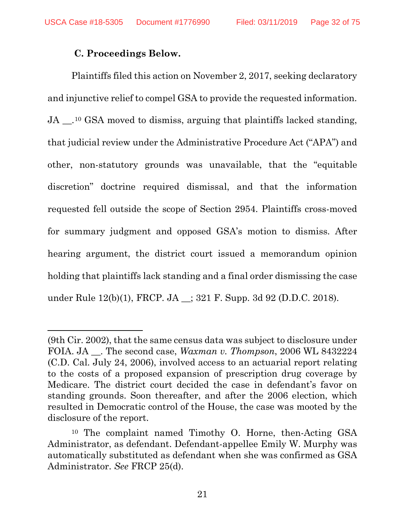## **C. Proceedings Below.**

l

Plaintiffs filed this action on November 2, 2017, seeking declaratory and injunctive relief to compel GSA to provide the requested information. JA \_\_.[10](#page-31-0) GSA moved to dismiss, arguing that plaintiffs lacked standing, that judicial review under the Administrative Procedure Act ("APA") and other, non-statutory grounds was unavailable, that the "equitable discretion" doctrine required dismissal, and that the information requested fell outside the scope of Section 2954. Plaintiffs cross-moved for summary judgment and opposed GSA's motion to dismiss. After hearing argument, the district court issued a memorandum opinion holding that plaintiffs lack standing and a final order dismissing the case under Rule 12(b)(1), FRCP. JA \_\_; 321 F. Supp. 3d 92 (D.D.C. 2018).

<sup>(9</sup>th Cir. 2002), that the same census data was subject to disclosure under FOIA. JA \_\_. The second case, *Waxman v. Thompson*, 2006 WL 8432224 (C.D. Cal. July 24, 2006), involved access to an actuarial report relating to the costs of a proposed expansion of prescription drug coverage by Medicare. The district court decided the case in defendant's favor on standing grounds. Soon thereafter, and after the 2006 election, which resulted in Democratic control of the House, the case was mooted by the disclosure of the report.

<span id="page-31-0"></span><sup>10</sup> The complaint named Timothy O. Horne, then-Acting GSA Administrator, as defendant. Defendant-appellee Emily W. Murphy was automatically substituted as defendant when she was confirmed as GSA Administrator. *See* FRCP 25(d).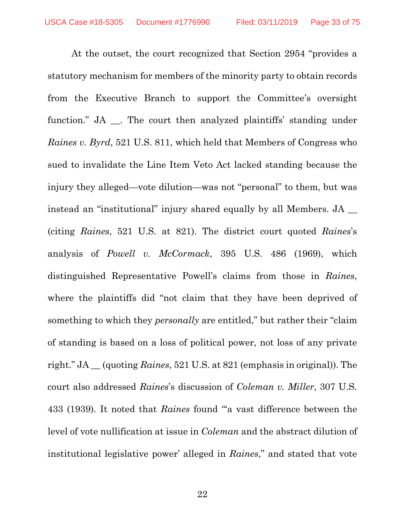At the outset, the court recognized that Section 2954 "provides a statutory mechanism for members of the minority party to obtain records from the Executive Branch to support the Committee's oversight function." JA \_\_. The court then analyzed plaintiffs' standing under *Raines v. Byrd*, 521 U.S. 811, which held that Members of Congress who sued to invalidate the Line Item Veto Act lacked standing because the injury they alleged—vote dilution—was not "personal" to them, but was instead an "institutional" injury shared equally by all Members. JA \_\_ (citing *Raines*, 521 U.S. at 821). The district court quoted *Raines*'s analysis of *Powell v. McCormack*, 395 U.S. 486 (1969), which distinguished Representative Powell's claims from those in *Raines*, where the plaintiffs did "not claim that they have been deprived of something to which they *personally* are entitled," but rather their "claim of standing is based on a loss of political power, not loss of any private right." JA \_\_ (quoting *Raines*, 521 U.S. at 821 (emphasis in original)). The court also addressed *Raines*'s discussion of *Coleman v. Miller*, 307 U.S. 433 (1939). It noted that *Raines* found "'a vast difference between the level of vote nullification at issue in *Coleman* and the abstract dilution of institutional legislative power' alleged in *Raines*," and stated that vote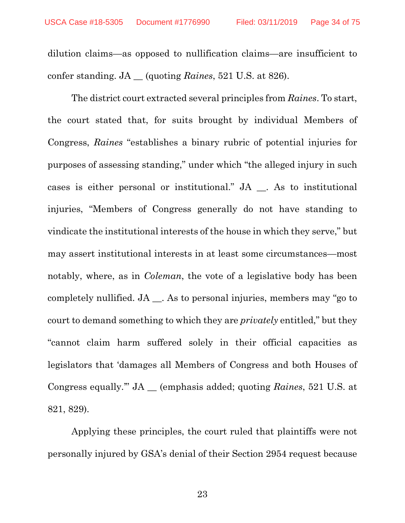dilution claims—as opposed to nullification claims—are insufficient to confer standing. JA \_\_ (quoting *Raines*, 521 U.S. at 826).

The district court extracted several principles from *Raines*. To start, the court stated that, for suits brought by individual Members of Congress, *Raines* "establishes a binary rubric of potential injuries for purposes of assessing standing," under which "the alleged injury in such cases is either personal or institutional." JA \_\_. As to institutional injuries, "Members of Congress generally do not have standing to vindicate the institutional interests of the house in which they serve," but may assert institutional interests in at least some circumstances—most notably, where, as in *Coleman*, the vote of a legislative body has been completely nullified. JA \_\_. As to personal injuries, members may "go to court to demand something to which they are *privately* entitled," but they "cannot claim harm suffered solely in their official capacities as legislators that 'damages all Members of Congress and both Houses of Congress equally.'" JA \_\_ (emphasis added; quoting *Raines*, 521 U.S. at 821, 829).

Applying these principles, the court ruled that plaintiffs were not personally injured by GSA's denial of their Section 2954 request because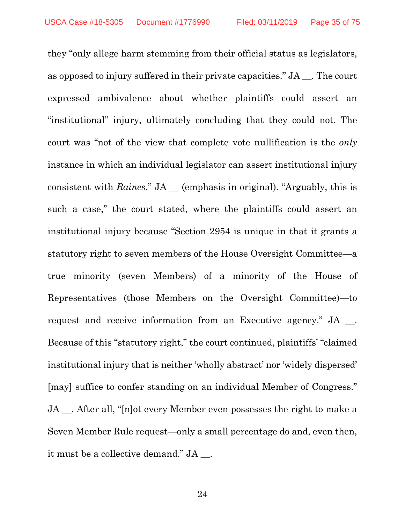they "only allege harm stemming from their official status as legislators, as opposed to injury suffered in their private capacities." JA \_\_. The court expressed ambivalence about whether plaintiffs could assert an "institutional" injury, ultimately concluding that they could not. The court was "not of the view that complete vote nullification is the *only* instance in which an individual legislator can assert institutional injury consistent with *Raines*." JA \_\_ (emphasis in original). "Arguably, this is such a case," the court stated, where the plaintiffs could assert an institutional injury because "Section 2954 is unique in that it grants a statutory right to seven members of the House Oversight Committee—a true minority (seven Members) of a minority of the House of Representatives (those Members on the Oversight Committee)—to request and receive information from an Executive agency." JA \_\_. Because of this "statutory right," the court continued, plaintiffs' "claimed institutional injury that is neither 'wholly abstract' nor 'widely dispersed' [may] suffice to confer standing on an individual Member of Congress." JA \_\_. After all, "[n]ot every Member even possesses the right to make a Seven Member Rule request—only a small percentage do and, even then, it must be a collective demand." JA \_\_.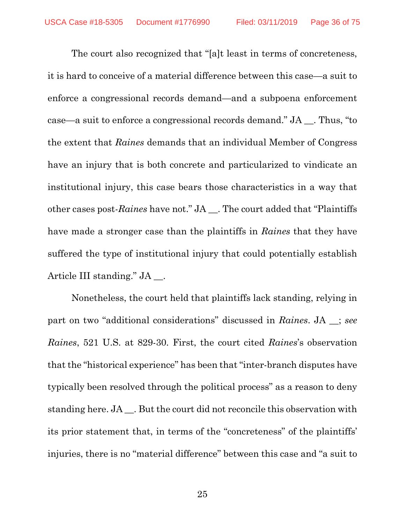The court also recognized that "[a]t least in terms of concreteness, it is hard to conceive of a material difference between this case—a suit to enforce a congressional records demand—and a subpoena enforcement case—a suit to enforce a congressional records demand." JA \_\_. Thus, "to the extent that *Raines* demands that an individual Member of Congress have an injury that is both concrete and particularized to vindicate an institutional injury, this case bears those characteristics in a way that other cases post-*Raines* have not." JA \_\_. The court added that "Plaintiffs have made a stronger case than the plaintiffs in *Raines* that they have suffered the type of institutional injury that could potentially establish Article III standing." JA \_\_.

Nonetheless, the court held that plaintiffs lack standing, relying in part on two "additional considerations" discussed in *Raines*. JA \_\_; *see Raines*, 521 U.S. at 829-30. First, the court cited *Raines*'s observation that the "historical experience" has been that "inter-branch disputes have typically been resolved through the political process" as a reason to deny standing here. JA \_\_. But the court did not reconcile this observation with its prior statement that, in terms of the "concreteness" of the plaintiffs' injuries, there is no "material difference" between this case and "a suit to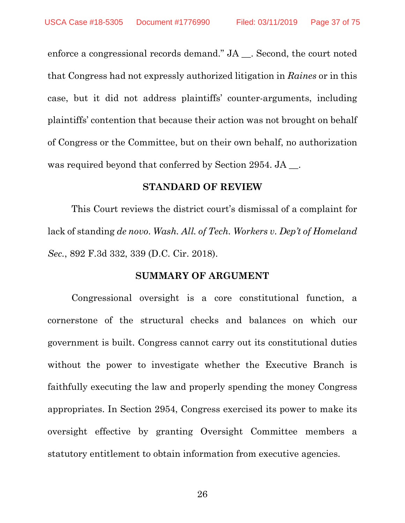enforce a congressional records demand." JA \_\_. Second, the court noted that Congress had not expressly authorized litigation in *Raines* or in this case, but it did not address plaintiffs' counter-arguments, including plaintiffs' contention that because their action was not brought on behalf of Congress or the Committee, but on their own behalf, no authorization was required beyond that conferred by Section 2954. JA .

### **STANDARD OF REVIEW**

This Court reviews the district court's dismissal of a complaint for lack of standing *de novo*. *Wash. All. of Tech. Workers v. Dep't of Homeland Sec.*, 892 F.3d 332, 339 (D.C. Cir. 2018).

## **SUMMARY OF ARGUMENT**

Congressional oversight is a core constitutional function, a cornerstone of the structural checks and balances on which our government is built. Congress cannot carry out its constitutional duties without the power to investigate whether the Executive Branch is faithfully executing the law and properly spending the money Congress appropriates. In Section 2954, Congress exercised its power to make its oversight effective by granting Oversight Committee members a statutory entitlement to obtain information from executive agencies.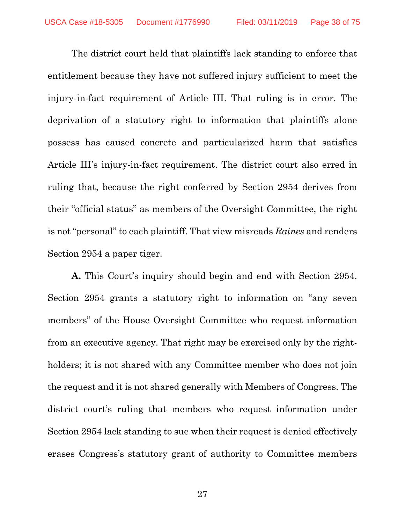The district court held that plaintiffs lack standing to enforce that entitlement because they have not suffered injury sufficient to meet the injury-in-fact requirement of Article III. That ruling is in error. The deprivation of a statutory right to information that plaintiffs alone possess has caused concrete and particularized harm that satisfies Article III's injury-in-fact requirement. The district court also erred in ruling that, because the right conferred by Section 2954 derives from their "official status" as members of the Oversight Committee, the right is not "personal" to each plaintiff. That view misreads *Raines* and renders Section 2954 a paper tiger.

**A.** This Court's inquiry should begin and end with Section 2954. Section 2954 grants a statutory right to information on "any seven members" of the House Oversight Committee who request information from an executive agency. That right may be exercised only by the rightholders; it is not shared with any Committee member who does not join the request and it is not shared generally with Members of Congress. The district court's ruling that members who request information under Section 2954 lack standing to sue when their request is denied effectively erases Congress's statutory grant of authority to Committee members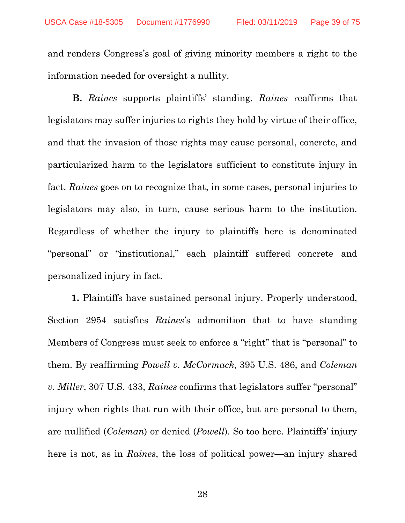and renders Congress's goal of giving minority members a right to the information needed for oversight a nullity.

**B.** *Raines* supports plaintiffs' standing. *Raines* reaffirms that legislators may suffer injuries to rights they hold by virtue of their office, and that the invasion of those rights may cause personal, concrete, and particularized harm to the legislators sufficient to constitute injury in fact. *Raines* goes on to recognize that, in some cases, personal injuries to legislators may also, in turn, cause serious harm to the institution. Regardless of whether the injury to plaintiffs here is denominated "personal" or "institutional," each plaintiff suffered concrete and personalized injury in fact.

**1.** Plaintiffs have sustained personal injury. Properly understood, Section 2954 satisfies *Raines*'s admonition that to have standing Members of Congress must seek to enforce a "right" that is "personal" to them. By reaffirming *Powell v. McCormack*, 395 U.S. 486, and *Coleman v. Miller*, 307 U.S. 433, *Raines* confirms that legislators suffer "personal" injury when rights that run with their office, but are personal to them, are nullified (*Coleman*) or denied (*Powell*). So too here. Plaintiffs' injury here is not, as in *Raines*, the loss of political power—an injury shared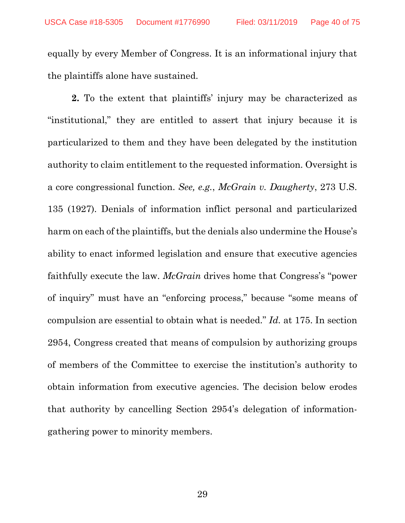equally by every Member of Congress. It is an informational injury that the plaintiffs alone have sustained.

**2.** To the extent that plaintiffs' injury may be characterized as "institutional," they are entitled to assert that injury because it is particularized to them and they have been delegated by the institution authority to claim entitlement to the requested information. Oversight is a core congressional function. *See, e.g.*, *McGrain v. Daugherty*, 273 U.S. 135 (1927). Denials of information inflict personal and particularized harm on each of the plaintiffs, but the denials also undermine the House's ability to enact informed legislation and ensure that executive agencies faithfully execute the law. *McGrain* drives home that Congress's "power of inquiry" must have an "enforcing process," because "some means of compulsion are essential to obtain what is needed." *Id.* at 175. In section 2954, Congress created that means of compulsion by authorizing groups of members of the Committee to exercise the institution's authority to obtain information from executive agencies. The decision below erodes that authority by cancelling Section 2954's delegation of informationgathering power to minority members.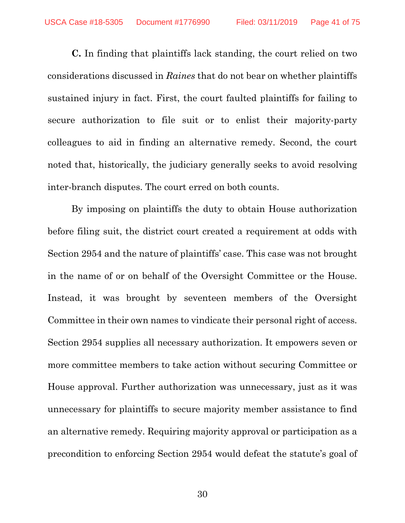**C.** In finding that plaintiffs lack standing, the court relied on two considerations discussed in *Raines* that do not bear on whether plaintiffs sustained injury in fact. First, the court faulted plaintiffs for failing to secure authorization to file suit or to enlist their majority-party colleagues to aid in finding an alternative remedy. Second, the court noted that, historically, the judiciary generally seeks to avoid resolving inter-branch disputes. The court erred on both counts.

By imposing on plaintiffs the duty to obtain House authorization before filing suit, the district court created a requirement at odds with Section 2954 and the nature of plaintiffs' case. This case was not brought in the name of or on behalf of the Oversight Committee or the House. Instead, it was brought by seventeen members of the Oversight Committee in their own names to vindicate their personal right of access. Section 2954 supplies all necessary authorization. It empowers seven or more committee members to take action without securing Committee or House approval. Further authorization was unnecessary, just as it was unnecessary for plaintiffs to secure majority member assistance to find an alternative remedy. Requiring majority approval or participation as a precondition to enforcing Section 2954 would defeat the statute's goal of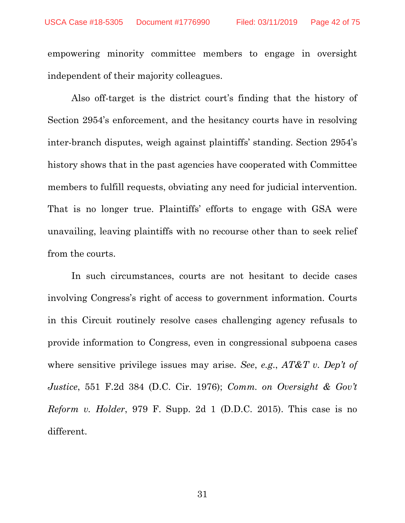empowering minority committee members to engage in oversight independent of their majority colleagues.

Also off-target is the district court's finding that the history of Section 2954's enforcement, and the hesitancy courts have in resolving inter-branch disputes, weigh against plaintiffs' standing. Section 2954's history shows that in the past agencies have cooperated with Committee members to fulfill requests, obviating any need for judicial intervention. That is no longer true. Plaintiffs' efforts to engage with GSA were unavailing, leaving plaintiffs with no recourse other than to seek relief from the courts.

In such circumstances, courts are not hesitant to decide cases involving Congress's right of access to government information. Courts in this Circuit routinely resolve cases challenging agency refusals to provide information to Congress, even in congressional subpoena cases where sensitive privilege issues may arise. *See*, *e.g*., *AT&T v. Dep't of Justice*, 551 F.2d 384 (D.C. Cir. 1976); *Comm. on Oversight & Gov't Reform v. Holder*, 979 F. Supp. 2d 1 (D.D.C. 2015). This case is no different.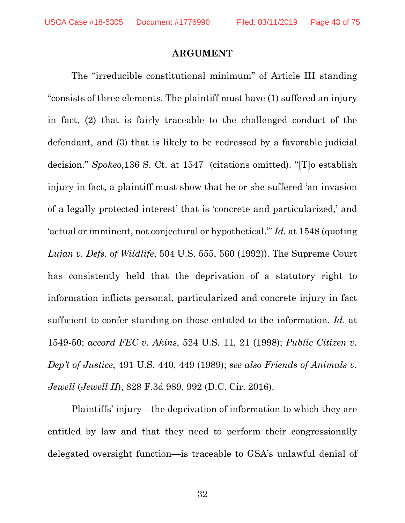#### **ARGUMENT**

The "irreducible constitutional minimum" of Article III standing "consists of three elements. The plaintiff must have (1) suffered an injury in fact, (2) that is fairly traceable to the challenged conduct of the defendant, and (3) that is likely to be redressed by a favorable judicial decision." *Spokeo,*136 S. Ct. at 1547 (citations omitted). "[T]o establish injury in fact, a plaintiff must show that he or she suffered 'an invasion of a legally protected interest' that is 'concrete and particularized,' and 'actual or imminent, not conjectural or hypothetical.'" *Id.* at 1548 (quoting *Lujan v. Defs. of Wildlife*, 504 U.S. 555, 560 (1992)). The Supreme Court has consistently held that the deprivation of a statutory right to information inflicts personal, particularized and concrete injury in fact sufficient to confer standing on those entitled to the information. *Id*. at 1549-50; *accord FEC v. Akins*, 524 U.S. 11, 21 (1998); *Public Citizen v. Dep't of Justice*, 491 U.S. 440, 449 (1989); *see also Friends of Animals v. Jewell* (*Jewell II*), 828 F.3d 989, 992 (D.C. Cir. 2016).

Plaintiffs' injury—the deprivation of information to which they are entitled by law and that they need to perform their congressionally delegated oversight function—is traceable to GSA's unlawful denial of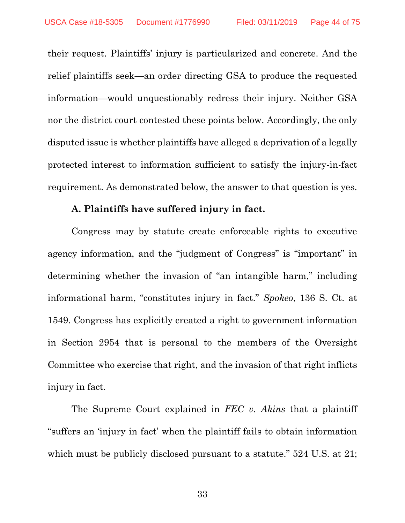their request. Plaintiffs' injury is particularized and concrete. And the relief plaintiffs seek—an order directing GSA to produce the requested information—would unquestionably redress their injury. Neither GSA nor the district court contested these points below. Accordingly, the only disputed issue is whether plaintiffs have alleged a deprivation of a legally protected interest to information sufficient to satisfy the injury-in-fact requirement. As demonstrated below, the answer to that question is yes.

## **A. Plaintiffs have suffered injury in fact.**

Congress may by statute create enforceable rights to executive agency information, and the "judgment of Congress" is "important" in determining whether the invasion of "an intangible harm," including informational harm, "constitutes injury in fact." *Spokeo*, 136 S. Ct. at 1549. Congress has explicitly created a right to government information in Section 2954 that is personal to the members of the Oversight Committee who exercise that right, and the invasion of that right inflicts injury in fact.

The Supreme Court explained in *FEC v. Akins* that a plaintiff "suffers an 'injury in fact' when the plaintiff fails to obtain information which must be publicly disclosed pursuant to a statute." 524 U.S. at 21;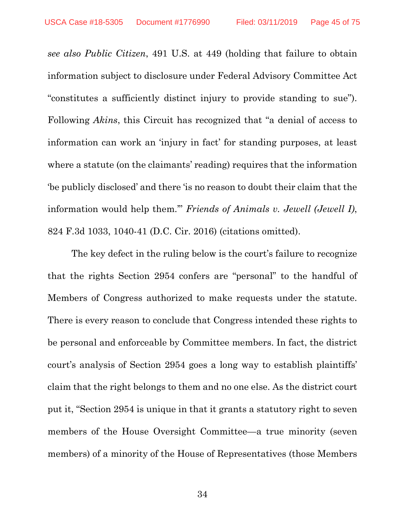*see also Public Citizen*, 491 U.S. at 449 (holding that failure to obtain information subject to disclosure under Federal Advisory Committee Act "constitutes a sufficiently distinct injury to provide standing to sue"). Following *Akins*, this Circuit has recognized that "a denial of access to information can work an 'injury in fact' for standing purposes, at least where a statute (on the claimants' reading) requires that the information 'be publicly disclosed' and there 'is no reason to doubt their claim that the information would help them.'" *Friends of Animals v. Jewell (Jewell I)*, 824 F.3d 1033, 1040-41 (D.C. Cir. 2016) (citations omitted).

The key defect in the ruling below is the court's failure to recognize that the rights Section 2954 confers are "personal" to the handful of Members of Congress authorized to make requests under the statute. There is every reason to conclude that Congress intended these rights to be personal and enforceable by Committee members. In fact, the district court's analysis of Section 2954 goes a long way to establish plaintiffs' claim that the right belongs to them and no one else. As the district court put it, "Section 2954 is unique in that it grants a statutory right to seven members of the House Oversight Committee—a true minority (seven members) of a minority of the House of Representatives (those Members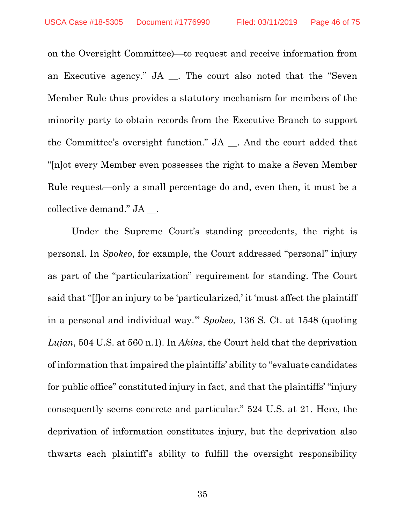on the Oversight Committee)—to request and receive information from an Executive agency." JA \_\_. The court also noted that the "Seven Member Rule thus provides a statutory mechanism for members of the minority party to obtain records from the Executive Branch to support the Committee's oversight function." JA \_\_. And the court added that "[n]ot every Member even possesses the right to make a Seven Member Rule request—only a small percentage do and, even then, it must be a collective demand." JA \_\_.

Under the Supreme Court's standing precedents, the right is personal. In *Spokeo*, for example, the Court addressed "personal" injury as part of the "particularization" requirement for standing. The Court said that "[f]or an injury to be 'particularized,' it 'must affect the plaintiff in a personal and individual way.'" *Spokeo*, 136 S. Ct. at 1548 (quoting *Lujan*, 504 U.S. at 560 n.1). In *Akins*, the Court held that the deprivation of information that impaired the plaintiffs' ability to "evaluate candidates for public office" constituted injury in fact, and that the plaintiffs' "injury consequently seems concrete and particular." 524 U.S. at 21. Here, the deprivation of information constitutes injury, but the deprivation also thwarts each plaintiff's ability to fulfill the oversight responsibility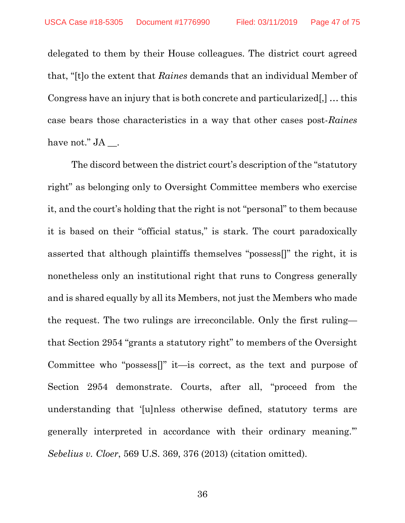delegated to them by their House colleagues. The district court agreed that, "[t]o the extent that *Raines* demands that an individual Member of Congress have an injury that is both concrete and particularized[,] … this case bears those characteristics in a way that other cases post-*Raines* have not." JA \_\_.

The discord between the district court's description of the "statutory right" as belonging only to Oversight Committee members who exercise it, and the court's holding that the right is not "personal" to them because it is based on their "official status," is stark. The court paradoxically asserted that although plaintiffs themselves "possess[]" the right, it is nonetheless only an institutional right that runs to Congress generally and is shared equally by all its Members, not just the Members who made the request. The two rulings are irreconcilable. Only the first ruling that Section 2954 "grants a statutory right" to members of the Oversight Committee who "possess[]" it—is correct, as the text and purpose of Section 2954 demonstrate. Courts, after all, "proceed from the understanding that '[u]nless otherwise defined, statutory terms are generally interpreted in accordance with their ordinary meaning.'" *Sebelius v. Cloer*, 569 U.S. 369, 376 (2013) (citation omitted).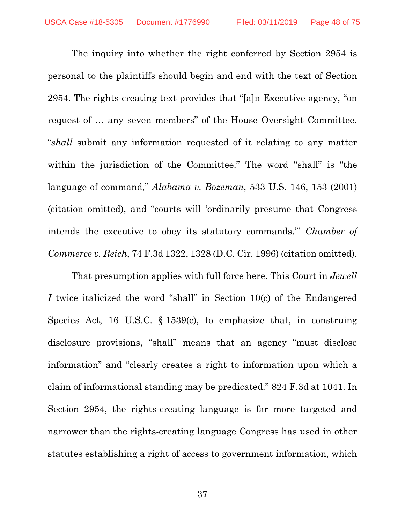The inquiry into whether the right conferred by Section 2954 is personal to the plaintiffs should begin and end with the text of Section 2954. The rights-creating text provides that "[a]n Executive agency, "on request of … any seven members" of the House Oversight Committee, "*shall* submit any information requested of it relating to any matter within the jurisdiction of the Committee." The word "shall" is "the language of command," *Alabama v. Bozeman*, 533 U.S. 146, 153 (2001) (citation omitted), and "courts will 'ordinarily presume that Congress intends the executive to obey its statutory commands.'" *Chamber of Commerce v. Reich*, 74 F.3d 1322, 1328 (D.C. Cir. 1996) (citation omitted).

That presumption applies with full force here. This Court in *Jewell I* twice italicized the word "shall" in Section 10(c) of the Endangered Species Act, 16 U.S.C. § 1539(c), to emphasize that, in construing disclosure provisions, "shall" means that an agency "must disclose information" and "clearly creates a right to information upon which a claim of informational standing may be predicated." 824 F.3d at 1041. In Section 2954, the rights-creating language is far more targeted and narrower than the rights-creating language Congress has used in other statutes establishing a right of access to government information, which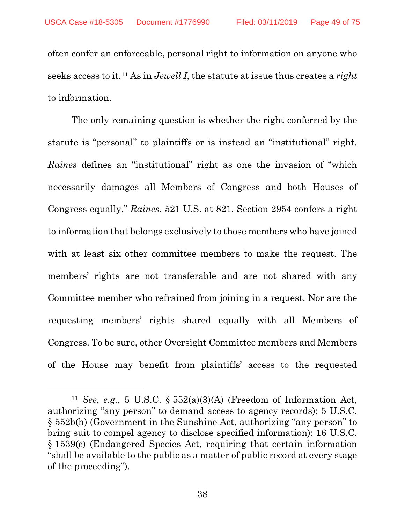often confer an enforceable, personal right to information on anyone who seeks access to it.[11](#page-48-0) As in *Jewell I*, the statute at issue thus creates a *right*  to information.

The only remaining question is whether the right conferred by the statute is "personal" to plaintiffs or is instead an "institutional" right. *Raines* defines an "institutional" right as one the invasion of "which necessarily damages all Members of Congress and both Houses of Congress equally." *Raines*, 521 U.S. at 821. Section 2954 confers a right to information that belongs exclusively to those members who have joined with at least six other committee members to make the request. The members' rights are not transferable and are not shared with any Committee member who refrained from joining in a request. Nor are the requesting members' rights shared equally with all Members of Congress. To be sure, other Oversight Committee members and Members of the House may benefit from plaintiffs' access to the requested

 $\overline{\phantom{a}}$ 

<span id="page-48-0"></span><sup>11</sup> *See*, *e.g.*, 5 U.S.C. § 552(a)(3)(A) (Freedom of Information Act, authorizing "any person" to demand access to agency records); 5 U.S.C. § 552b(h) (Government in the Sunshine Act, authorizing "any person" to bring suit to compel agency to disclose specified information); 16 U.S.C. § 1539(c) (Endangered Species Act, requiring that certain information "shall be available to the public as a matter of public record at every stage of the proceeding").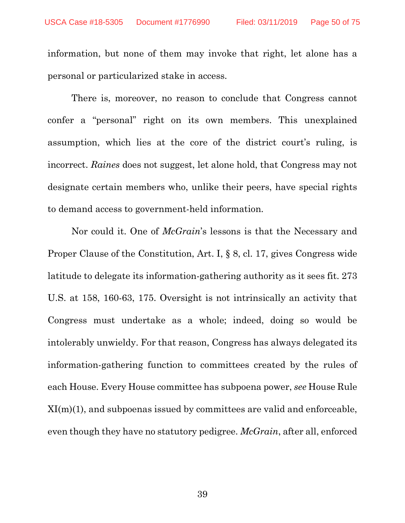information, but none of them may invoke that right, let alone has a personal or particularized stake in access.

There is, moreover, no reason to conclude that Congress cannot confer a "personal" right on its own members. This unexplained assumption, which lies at the core of the district court's ruling, is incorrect. *Raines* does not suggest, let alone hold, that Congress may not designate certain members who, unlike their peers, have special rights to demand access to government-held information.

Nor could it. One of *McGrain*'s lessons is that the Necessary and Proper Clause of the Constitution, Art. I, § 8, cl. 17, gives Congress wide latitude to delegate its information-gathering authority as it sees fit. 273 U.S. at 158, 160-63, 175. Oversight is not intrinsically an activity that Congress must undertake as a whole; indeed, doing so would be intolerably unwieldy. For that reason, Congress has always delegated its information-gathering function to committees created by the rules of each House. Every House committee has subpoena power, *see* House Rule  $XI(m)(1)$ , and subpoenas issued by committees are valid and enforceable, even though they have no statutory pedigree. *McGrain*, after all, enforced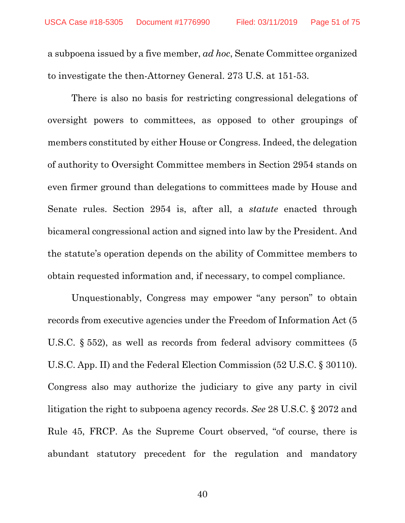a subpoena issued by a five member, *ad hoc*, Senate Committee organized to investigate the then-Attorney General. 273 U.S. at 151-53.

There is also no basis for restricting congressional delegations of oversight powers to committees, as opposed to other groupings of members constituted by either House or Congress. Indeed, the delegation of authority to Oversight Committee members in Section 2954 stands on even firmer ground than delegations to committees made by House and Senate rules. Section 2954 is, after all, a *statute* enacted through bicameral congressional action and signed into law by the President. And the statute's operation depends on the ability of Committee members to obtain requested information and, if necessary, to compel compliance.

Unquestionably, Congress may empower "any person" to obtain records from executive agencies under the Freedom of Information Act (5 U.S.C. § 552), as well as records from federal advisory committees (5 U.S.C. App. II) and the Federal Election Commission (52 U.S.C. § 30110). Congress also may authorize the judiciary to give any party in civil litigation the right to subpoena agency records. *See* 28 U.S.C. § 2072 and Rule 45, FRCP. As the Supreme Court observed, "of course, there is abundant statutory precedent for the regulation and mandatory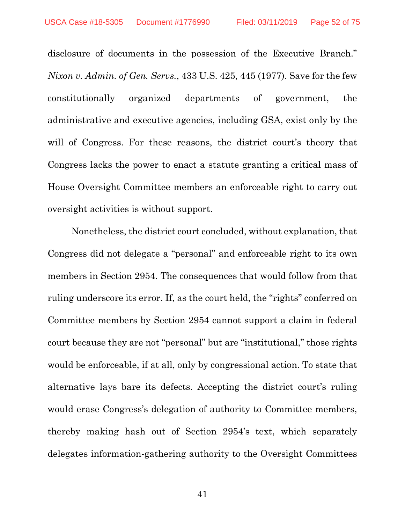disclosure of documents in the possession of the Executive Branch." *Nixon v. Admin. of Gen. Servs.*, 433 U.S. 425, 445 (1977). Save for the few constitutionally organized departments of government, the administrative and executive agencies, including GSA, exist only by the will of Congress. For these reasons, the district court's theory that Congress lacks the power to enact a statute granting a critical mass of House Oversight Committee members an enforceable right to carry out oversight activities is without support.

Nonetheless, the district court concluded, without explanation, that Congress did not delegate a "personal" and enforceable right to its own members in Section 2954. The consequences that would follow from that ruling underscore its error. If, as the court held, the "rights" conferred on Committee members by Section 2954 cannot support a claim in federal court because they are not "personal" but are "institutional," those rights would be enforceable, if at all, only by congressional action. To state that alternative lays bare its defects. Accepting the district court's ruling would erase Congress's delegation of authority to Committee members, thereby making hash out of Section 2954's text, which separately delegates information-gathering authority to the Oversight Committees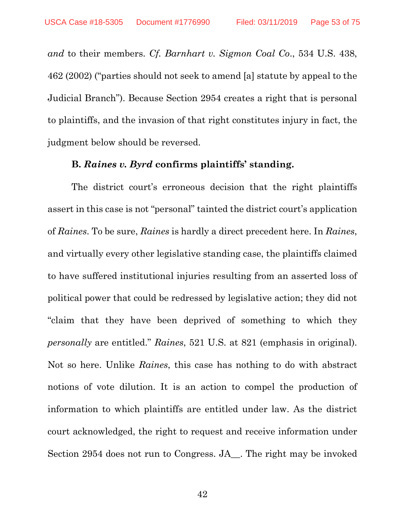*and* to their members. *Cf. Barnhart v. Sigmon Coal Co*., 534 U.S. 438, 462 (2002) ("parties should not seek to amend [a] statute by appeal to the Judicial Branch"). Because Section 2954 creates a right that is personal to plaintiffs, and the invasion of that right constitutes injury in fact, the judgment below should be reversed.

### **B.** *Raines v. Byrd* **confirms plaintiffs' standing.**

The district court's erroneous decision that the right plaintiffs assert in this case is not "personal" tainted the district court's application of *Raines*. To be sure, *Raines* is hardly a direct precedent here. In *Raines*, and virtually every other legislative standing case, the plaintiffs claimed to have suffered institutional injuries resulting from an asserted loss of political power that could be redressed by legislative action; they did not "claim that they have been deprived of something to which they *personally* are entitled." *Raines*, 521 U.S. at 821 (emphasis in original). Not so here. Unlike *Raines*, this case has nothing to do with abstract notions of vote dilution. It is an action to compel the production of information to which plaintiffs are entitled under law. As the district court acknowledged, the right to request and receive information under Section 2954 does not run to Congress. JA\_. The right may be invoked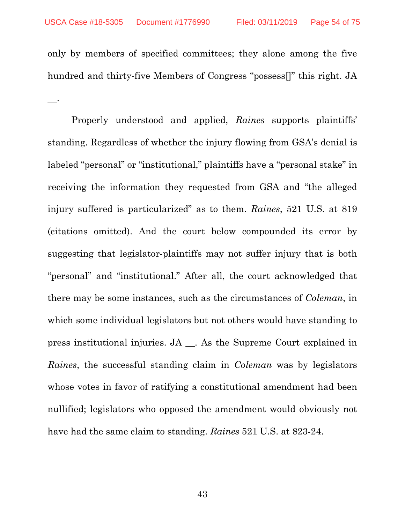only by members of specified committees; they alone among the five hundred and thirty-five Members of Congress "possess[]" this right. JA  $-$ .

Properly understood and applied, *Raines* supports plaintiffs' standing. Regardless of whether the injury flowing from GSA's denial is labeled "personal" or "institutional," plaintiffs have a "personal stake" in receiving the information they requested from GSA and "the alleged injury suffered is particularized" as to them. *Raines*, 521 U.S. at 819 (citations omitted). And the court below compounded its error by suggesting that legislator-plaintiffs may not suffer injury that is both "personal" and "institutional." After all, the court acknowledged that there may be some instances, such as the circumstances of *Coleman*, in which some individual legislators but not others would have standing to press institutional injuries. JA \_\_. As the Supreme Court explained in *Raines*, the successful standing claim in *Coleman* was by legislators whose votes in favor of ratifying a constitutional amendment had been nullified; legislators who opposed the amendment would obviously not have had the same claim to standing. *Raines* 521 U.S. at 823-24.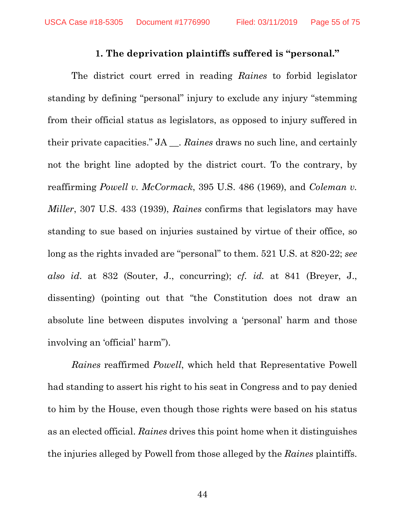### **1. The deprivation plaintiffs suffered is "personal."**

The district court erred in reading *Raines* to forbid legislator standing by defining "personal" injury to exclude any injury "stemming from their official status as legislators, as opposed to injury suffered in their private capacities." JA \_\_. *Raines* draws no such line, and certainly not the bright line adopted by the district court. To the contrary, by reaffirming *Powell v. McCormack*, 395 U.S. 486 (1969), and *Coleman v. Miller*, 307 U.S. 433 (1939), *Raines* confirms that legislators may have standing to sue based on injuries sustained by virtue of their office, so long as the rights invaded are "personal" to them. 521 U.S. at 820-22; *see also id*. at 832 (Souter, J., concurring); *cf. id.* at 841 (Breyer, J., dissenting) (pointing out that "the Constitution does not draw an absolute line between disputes involving a 'personal' harm and those involving an 'official' harm").

*Raines* reaffirmed *Powell*, which held that Representative Powell had standing to assert his right to his seat in Congress and to pay denied to him by the House, even though those rights were based on his status as an elected official. *Raines* drives this point home when it distinguishes the injuries alleged by Powell from those alleged by the *Raines* plaintiffs.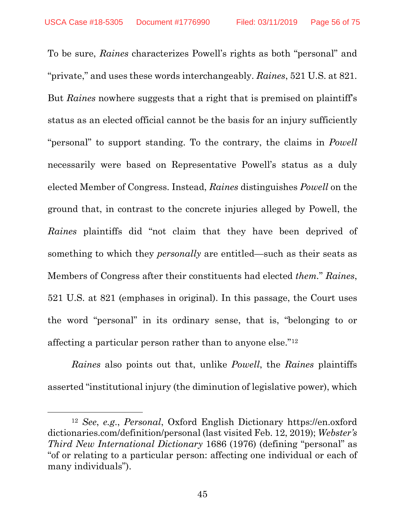To be sure, *Raines* characterizes Powell's rights as both "personal" and "private," and uses these words interchangeably. *Raines*, 521 U.S. at 821. But *Raines* nowhere suggests that a right that is premised on plaintiff's status as an elected official cannot be the basis for an injury sufficiently "personal" to support standing. To the contrary, the claims in *Powell* necessarily were based on Representative Powell's status as a duly elected Member of Congress. Instead, *Raines* distinguishes *Powell* on the ground that, in contrast to the concrete injuries alleged by Powell, the *Raines* plaintiffs did "not claim that they have been deprived of something to which they *personally* are entitled—such as their seats as Members of Congress after their constituents had elected *them.*" *Raines*, 521 U.S. at 821 (emphases in original). In this passage, the Court uses the word "personal" in its ordinary sense, that is, "belonging to or affecting a particular person rather than to anyone else."[12](#page-55-0)

*Raines* also points out that, unlike *Powell*, the *Raines* plaintiffs asserted "institutional injury (the diminution of legislative power), which

 $\overline{\phantom{a}}$ 

<span id="page-55-0"></span><sup>12</sup> *See*, *e.g*., *Personal*, Oxford English Dictionary https://en.oxford dictionaries.com/definition/personal (last visited Feb. 12, 2019); *Webster's Third New International Dictionary* 1686 (1976) (defining "personal" as "of or relating to a particular person: affecting one individual or each of many individuals").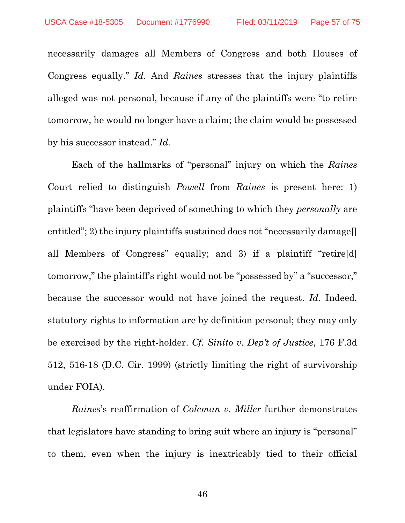necessarily damages all Members of Congress and both Houses of Congress equally." *Id*. And *Raines* stresses that the injury plaintiffs alleged was not personal, because if any of the plaintiffs were "to retire tomorrow, he would no longer have a claim; the claim would be possessed by his successor instead." *Id.*

Each of the hallmarks of "personal" injury on which the *Raines* Court relied to distinguish *Powell* from *Raines* is present here: 1) plaintiffs "have been deprived of something to which they *personally* are entitled"; 2) the injury plaintiffs sustained does not "necessarily damage. all Members of Congress" equally; and 3) if a plaintiff "retire[d] tomorrow," the plaintiff's right would not be "possessed by" a "successor," because the successor would not have joined the request. *Id*. Indeed, statutory rights to information are by definition personal; they may only be exercised by the right-holder. *Cf. Sinito v. Dep't of Justice*, 176 F.3d 512, 516-18 (D.C. Cir. 1999) (strictly limiting the right of survivorship under FOIA).

*Raines*'s reaffirmation of *Coleman v. Miller* further demonstrates that legislators have standing to bring suit where an injury is "personal" to them, even when the injury is inextricably tied to their official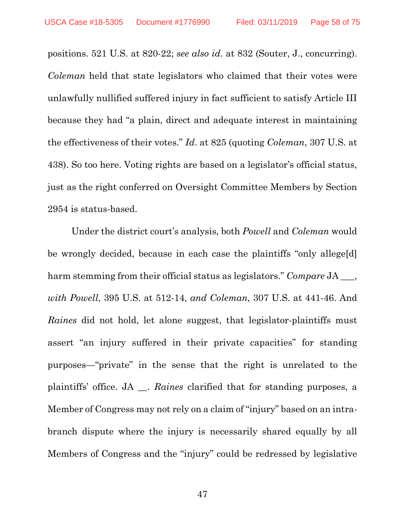positions. 521 U.S. at 820-22; *see also id*. at 832 (Souter, J., concurring). *Coleman* held that state legislators who claimed that their votes were unlawfully nullified suffered injury in fact sufficient to satisfy Article III because they had "a plain, direct and adequate interest in maintaining the effectiveness of their votes." *Id*. at 825 (quoting *Coleman*, 307 U.S. at 438). So too here. Voting rights are based on a legislator's official status, just as the right conferred on Oversight Committee Members by Section 2954 is status-based.

Under the district court's analysis, both *Powell* and *Coleman* would be wrongly decided, because in each case the plaintiffs "only allege[d] harm stemming from their official status as legislators." *Compare* JA  $\phantom{a}$ , *with Powell*, 395 U.S. at 512-14, *and Coleman*, 307 U.S. at 441-46. And *Raines* did not hold, let alone suggest, that legislator-plaintiffs must assert "an injury suffered in their private capacities" for standing purposes—"private" in the sense that the right is unrelated to the plaintiffs' office. JA \_\_. *Raines* clarified that for standing purposes, a Member of Congress may not rely on a claim of "injury" based on an intrabranch dispute where the injury is necessarily shared equally by all Members of Congress and the "injury" could be redressed by legislative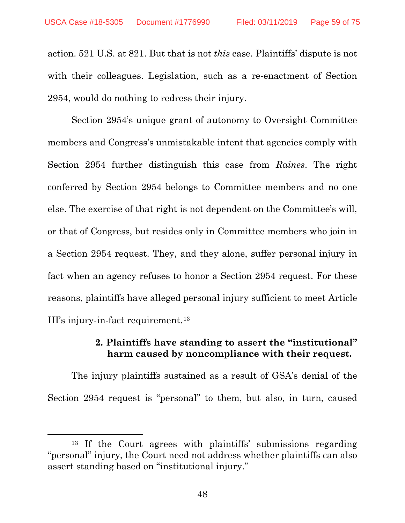action. 521 U.S. at 821. But that is not *this* case. Plaintiffs' dispute is not with their colleagues. Legislation, such as a re-enactment of Section 2954, would do nothing to redress their injury.

Section 2954's unique grant of autonomy to Oversight Committee members and Congress's unmistakable intent that agencies comply with Section 2954 further distinguish this case from *Raines*. The right conferred by Section 2954 belongs to Committee members and no one else. The exercise of that right is not dependent on the Committee's will, or that of Congress, but resides only in Committee members who join in a Section 2954 request. They, and they alone, suffer personal injury in fact when an agency refuses to honor a Section 2954 request. For these reasons, plaintiffs have alleged personal injury sufficient to meet Article III's injury-in-fact requirement.[13](#page-58-0)

# **2. Plaintiffs have standing to assert the "institutional" harm caused by noncompliance with their request.**

The injury plaintiffs sustained as a result of GSA's denial of the Section 2954 request is "personal" to them, but also, in turn, caused

l

<span id="page-58-0"></span><sup>13</sup> If the Court agrees with plaintiffs' submissions regarding "personal" injury, the Court need not address whether plaintiffs can also assert standing based on "institutional injury."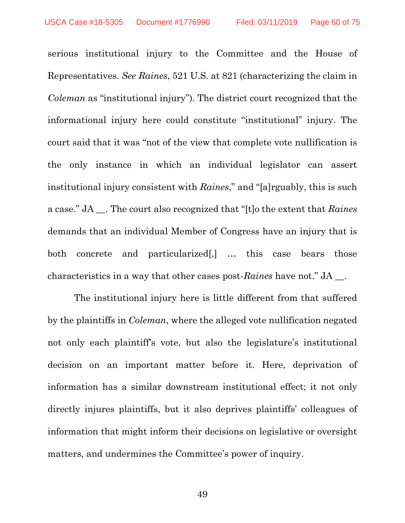serious institutional injury to the Committee and the House of Representatives. *See Raines*, 521 U.S. at 821 (characterizing the claim in *Coleman* as "institutional injury"). The district court recognized that the informational injury here could constitute "institutional" injury. The court said that it was "not of the view that complete vote nullification is the only instance in which an individual legislator can assert institutional injury consistent with *Raines*," and "[a]rguably, this is such a case." JA \_\_. The court also recognized that "[t]o the extent that *Raines*  demands that an individual Member of Congress have an injury that is both concrete and particularized[,] … this case bears those characteristics in a way that other cases post-*Raines* have not." JA \_\_.

The institutional injury here is little different from that suffered by the plaintiffs in *Coleman*, where the alleged vote nullification negated not only each plaintiff's vote, but also the legislature's institutional decision on an important matter before it. Here, deprivation of information has a similar downstream institutional effect; it not only directly injures plaintiffs, but it also deprives plaintiffs' colleagues of information that might inform their decisions on legislative or oversight matters, and undermines the Committee's power of inquiry.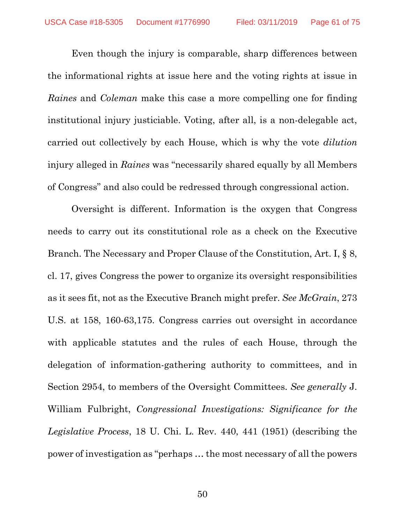Even though the injury is comparable, sharp differences between the informational rights at issue here and the voting rights at issue in *Raines* and *Coleman* make this case a more compelling one for finding institutional injury justiciable. Voting, after all, is a non-delegable act, carried out collectively by each House, which is why the vote *dilution* injury alleged in *Raines* was "necessarily shared equally by all Members of Congress" and also could be redressed through congressional action.

Oversight is different. Information is the oxygen that Congress needs to carry out its constitutional role as a check on the Executive Branch. The Necessary and Proper Clause of the Constitution, Art. I, § 8, cl. 17, gives Congress the power to organize its oversight responsibilities as it sees fit, not as the Executive Branch might prefer. *See McGrain*, 273 U.S. at 158, 160-63,175. Congress carries out oversight in accordance with applicable statutes and the rules of each House, through the delegation of information-gathering authority to committees, and in Section 2954, to members of the Oversight Committees. *See generally* J. William Fulbright, *Congressional Investigations: Significance for the Legislative Process*, 18 U. Chi. L. Rev. 440, 441 (1951) (describing the power of investigation as "perhaps … the most necessary of all the powers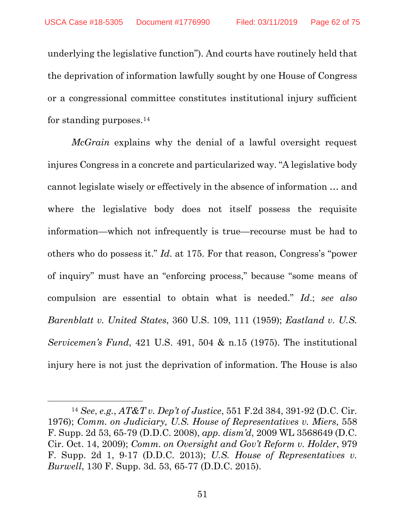underlying the legislative function"). And courts have routinely held that the deprivation of information lawfully sought by one House of Congress or a congressional committee constitutes institutional injury sufficient for standing purposes.[14](#page-61-0)

*McGrain* explains why the denial of a lawful oversight request injures Congress in a concrete and particularized way. "A legislative body cannot legislate wisely or effectively in the absence of information … and where the legislative body does not itself possess the requisite information—which not infrequently is true—recourse must be had to others who do possess it." *Id*. at 175. For that reason, Congress's "power of inquiry" must have an "enforcing process," because "some means of compulsion are essential to obtain what is needed." *Id*.; *see also Barenblatt v. United States*, 360 U.S. 109, 111 (1959); *Eastland v. U.S. Servicemen's Fund*, 421 U.S. 491, 504 & n.15 (1975). The institutional injury here is not just the deprivation of information. The House is also

l

<span id="page-61-0"></span><sup>14</sup> *See*, *e.g.*, *AT&T v. Dep't of Justice*, 551 F.2d 384, 391-92 (D.C. Cir. 1976); *Comm. on Judiciary, U.S. House of Representatives v. Miers*, 558 F. Supp. 2d 53, 65-79 (D.D.C. 2008), *app. dism'd*, 2009 WL 3568649 (D.C. Cir. Oct. 14, 2009); *Comm. on Oversight and Gov't Reform v. Holder*, 979 F. Supp. 2d 1, 9-17 (D.D.C. 2013); *U.S. House of Representatives v. Burwell*, 130 F. Supp. 3d. 53, 65-77 (D.D.C. 2015).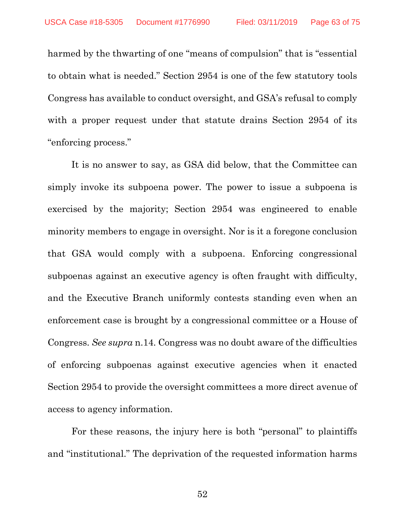harmed by the thwarting of one "means of compulsion" that is "essential to obtain what is needed." Section 2954 is one of the few statutory tools Congress has available to conduct oversight, and GSA's refusal to comply with a proper request under that statute drains Section 2954 of its "enforcing process."

It is no answer to say, as GSA did below, that the Committee can simply invoke its subpoena power. The power to issue a subpoena is exercised by the majority; Section 2954 was engineered to enable minority members to engage in oversight. Nor is it a foregone conclusion that GSA would comply with a subpoena. Enforcing congressional subpoenas against an executive agency is often fraught with difficulty, and the Executive Branch uniformly contests standing even when an enforcement case is brought by a congressional committee or a House of Congress. *See supra* n.14. Congress was no doubt aware of the difficulties of enforcing subpoenas against executive agencies when it enacted Section 2954 to provide the oversight committees a more direct avenue of access to agency information.

For these reasons, the injury here is both "personal" to plaintiffs and "institutional." The deprivation of the requested information harms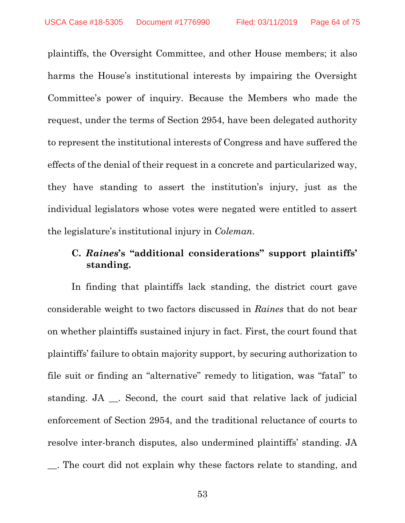plaintiffs, the Oversight Committee, and other House members; it also harms the House's institutional interests by impairing the Oversight Committee's power of inquiry. Because the Members who made the request, under the terms of Section 2954, have been delegated authority to represent the institutional interests of Congress and have suffered the effects of the denial of their request in a concrete and particularized way, they have standing to assert the institution's injury, just as the individual legislators whose votes were negated were entitled to assert the legislature's institutional injury in *Coleman*.

# **C.** *Raines***'s "additional considerations" support plaintiffs' standing.**

In finding that plaintiffs lack standing, the district court gave considerable weight to two factors discussed in *Raines* that do not bear on whether plaintiffs sustained injury in fact. First, the court found that plaintiffs' failure to obtain majority support, by securing authorization to file suit or finding an "alternative" remedy to litigation, was "fatal" to standing. JA \_\_. Second, the court said that relative lack of judicial enforcement of Section 2954, and the traditional reluctance of courts to resolve inter-branch disputes, also undermined plaintiffs' standing. JA \_\_. The court did not explain why these factors relate to standing, and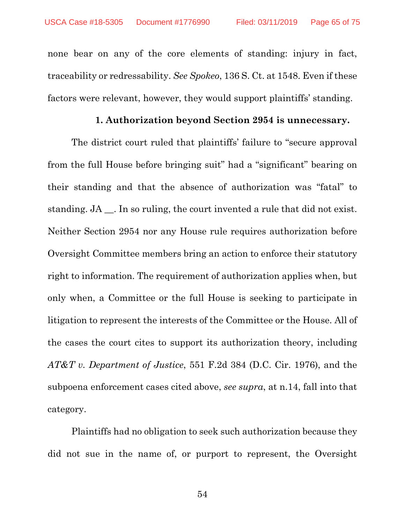none bear on any of the core elements of standing: injury in fact, traceability or redressability. *See Spokeo*, 136 S. Ct. at 1548. Even if these factors were relevant, however, they would support plaintiffs' standing.

### **1. Authorization beyond Section 2954 is unnecessary.**

The district court ruled that plaintiffs' failure to "secure approval from the full House before bringing suit" had a "significant" bearing on their standing and that the absence of authorization was "fatal" to standing. JA  $\blacksquare$ . In so ruling, the court invented a rule that did not exist. Neither Section 2954 nor any House rule requires authorization before Oversight Committee members bring an action to enforce their statutory right to information. The requirement of authorization applies when, but only when, a Committee or the full House is seeking to participate in litigation to represent the interests of the Committee or the House. All of the cases the court cites to support its authorization theory, including *AT&T v. Department of Justice*, 551 F.2d 384 (D.C. Cir. 1976), and the subpoena enforcement cases cited above, *see supra*, at n.14, fall into that category.

Plaintiffs had no obligation to seek such authorization because they did not sue in the name of, or purport to represent, the Oversight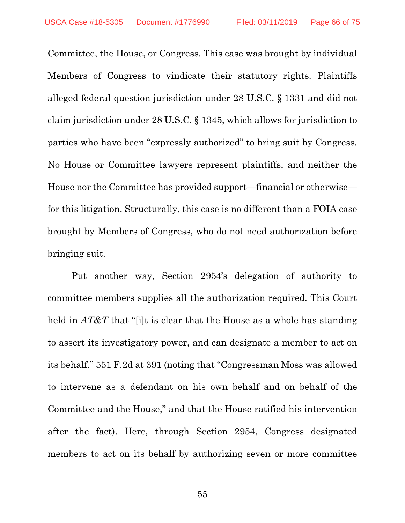Committee, the House, or Congress. This case was brought by individual Members of Congress to vindicate their statutory rights. Plaintiffs alleged federal question jurisdiction under 28 U.S.C. § 1331 and did not claim jurisdiction under 28 U.S.C. § 1345, which allows for jurisdiction to parties who have been "expressly authorized" to bring suit by Congress. No House or Committee lawyers represent plaintiffs, and neither the House nor the Committee has provided support—financial or otherwise for this litigation. Structurally, this case is no different than a FOIA case brought by Members of Congress, who do not need authorization before bringing suit.

Put another way, Section 2954's delegation of authority to committee members supplies all the authorization required. This Court held in *AT&T* that "[i]t is clear that the House as a whole has standing to assert its investigatory power, and can designate a member to act on its behalf." 551 F.2d at 391 (noting that "Congressman Moss was allowed to intervene as a defendant on his own behalf and on behalf of the Committee and the House," and that the House ratified his intervention after the fact). Here, through Section 2954, Congress designated members to act on its behalf by authorizing seven or more committee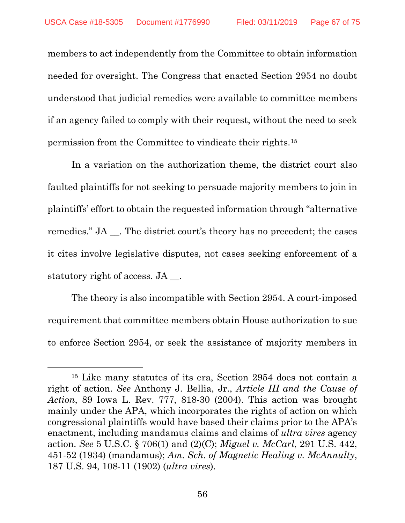members to act independently from the Committee to obtain information needed for oversight. The Congress that enacted Section 2954 no doubt understood that judicial remedies were available to committee members if an agency failed to comply with their request, without the need to seek permission from the Committee to vindicate their rights.[15](#page-66-0)

In a variation on the authorization theme, the district court also faulted plaintiffs for not seeking to persuade majority members to join in plaintiffs' effort to obtain the requested information through "alternative remedies." JA \_\_. The district court's theory has no precedent; the cases it cites involve legislative disputes, not cases seeking enforcement of a statutory right of access. JA  $\blacksquare$ 

The theory is also incompatible with Section 2954. A court-imposed requirement that committee members obtain House authorization to sue to enforce Section 2954, or seek the assistance of majority members in

 $\overline{\phantom{a}}$ 

<span id="page-66-0"></span><sup>15</sup> Like many statutes of its era, Section 2954 does not contain a right of action. *See* Anthony J. Bellia, Jr., *Article III and the Cause of Action*, 89 Iowa L. Rev. 777, 818-30 (2004). This action was brought mainly under the APA, which incorporates the rights of action on which congressional plaintiffs would have based their claims prior to the APA's enactment, including mandamus claims and claims of *ultra vires* agency action. *See* 5 U.S.C. § 706(1) and (2)(C); *Miguel v. McCarl*, 291 U.S. 442, 451-52 (1934) (mandamus); *Am. Sch. of Magnetic Healing v. McAnnulty*, 187 U.S. 94, 108-11 (1902) (*ultra vires*).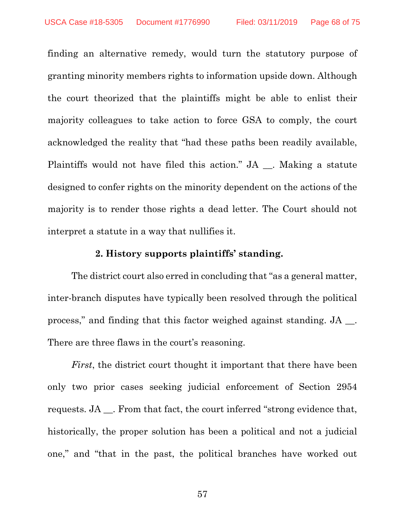finding an alternative remedy, would turn the statutory purpose of granting minority members rights to information upside down. Although the court theorized that the plaintiffs might be able to enlist their majority colleagues to take action to force GSA to comply, the court acknowledged the reality that "had these paths been readily available, Plaintiffs would not have filed this action." JA \_\_. Making a statute designed to confer rights on the minority dependent on the actions of the majority is to render those rights a dead letter. The Court should not interpret a statute in a way that nullifies it.

#### **2. History supports plaintiffs' standing.**

The district court also erred in concluding that "as a general matter, inter-branch disputes have typically been resolved through the political process," and finding that this factor weighed against standing. JA \_\_. There are three flaws in the court's reasoning.

*First*, the district court thought it important that there have been only two prior cases seeking judicial enforcement of Section 2954 requests. JA \_\_. From that fact, the court inferred "strong evidence that, historically, the proper solution has been a political and not a judicial one," and "that in the past, the political branches have worked out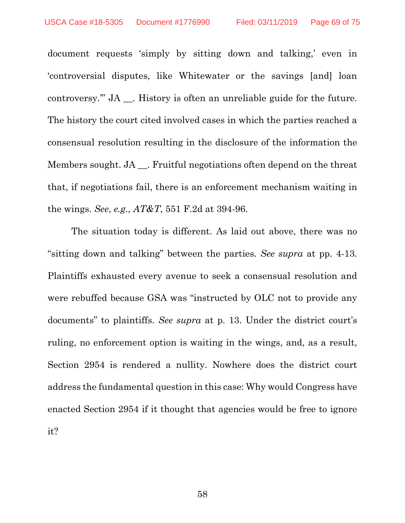document requests 'simply by sitting down and talking,' even in 'controversial disputes, like Whitewater or the savings [and] loan controversy." JA . History is often an unreliable guide for the future. The history the court cited involved cases in which the parties reached a consensual resolution resulting in the disclosure of the information the Members sought. JA \_\_. Fruitful negotiations often depend on the threat that, if negotiations fail, there is an enforcement mechanism waiting in the wings. *See*, *e.g.*, *AT&T*, 551 F.2d at 394-96.

The situation today is different. As laid out above, there was no "sitting down and talking" between the parties. *See supra* at pp. 4-13. Plaintiffs exhausted every avenue to seek a consensual resolution and were rebuffed because GSA was "instructed by OLC not to provide any documents" to plaintiffs. *See supra* at p. 13. Under the district court's ruling, no enforcement option is waiting in the wings, and, as a result, Section 2954 is rendered a nullity. Nowhere does the district court address the fundamental question in this case: Why would Congress have enacted Section 2954 if it thought that agencies would be free to ignore it?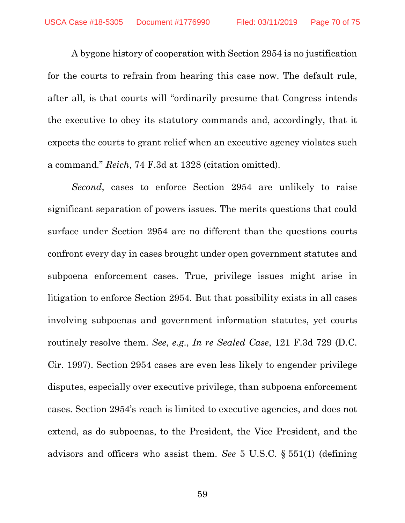A bygone history of cooperation with Section 2954 is no justification for the courts to refrain from hearing this case now. The default rule, after all, is that courts will "ordinarily presume that Congress intends the executive to obey its statutory commands and, accordingly, that it expects the courts to grant relief when an executive agency violates such a command." *Reich*, 74 F.3d at 1328 (citation omitted).

*Second*, cases to enforce Section 2954 are unlikely to raise significant separation of powers issues. The merits questions that could surface under Section 2954 are no different than the questions courts confront every day in cases brought under open government statutes and subpoena enforcement cases. True, privilege issues might arise in litigation to enforce Section 2954. But that possibility exists in all cases involving subpoenas and government information statutes, yet courts routinely resolve them. *See*, *e.g*., *In re Sealed Case*, 121 F.3d 729 (D.C. Cir. 1997). Section 2954 cases are even less likely to engender privilege disputes, especially over executive privilege, than subpoena enforcement cases. Section 2954's reach is limited to executive agencies, and does not extend, as do subpoenas, to the President, the Vice President, and the advisors and officers who assist them. *See* 5 U.S.C. § 551(1) (defining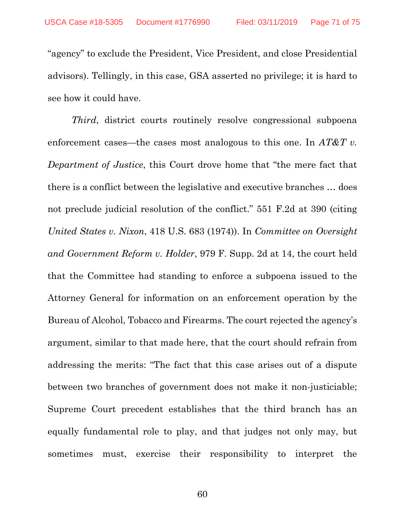"agency" to exclude the President, Vice President, and close Presidential advisors). Tellingly, in this case, GSA asserted no privilege; it is hard to see how it could have.

*Third*, district courts routinely resolve congressional subpoena enforcement cases—the cases most analogous to this one. In *AT&T v. Department of Justice*, this Court drove home that "the mere fact that there is a conflict between the legislative and executive branches … does not preclude judicial resolution of the conflict." 551 F.2d at 390 (citing *United States v. Nixon*, 418 U.S. 683 (1974)). In *Committee on Oversight and Government Reform v. Holder*, 979 F. Supp. 2d at 14, the court held that the Committee had standing to enforce a subpoena issued to the Attorney General for information on an enforcement operation by the Bureau of Alcohol, Tobacco and Firearms. The court rejected the agency's argument, similar to that made here, that the court should refrain from addressing the merits: "The fact that this case arises out of a dispute between two branches of government does not make it non-justiciable; Supreme Court precedent establishes that the third branch has an equally fundamental role to play, and that judges not only may, but sometimes must, exercise their responsibility to interpret the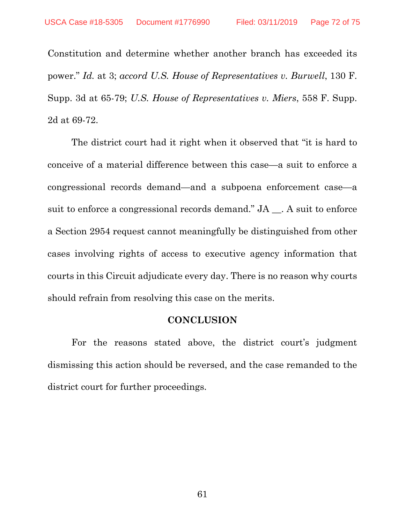Constitution and determine whether another branch has exceeded its power." *Id.* at 3; *accord U.S. House of Representatives v. Burwell*, 130 F. Supp. 3d at 65-79; *U.S. House of Representatives v. Miers*, 558 F. Supp. 2d at 69-72.

The district court had it right when it observed that "it is hard to conceive of a material difference between this case—a suit to enforce a congressional records demand—and a subpoena enforcement case—a suit to enforce a congressional records demand." JA \_\_. A suit to enforce a Section 2954 request cannot meaningfully be distinguished from other cases involving rights of access to executive agency information that courts in this Circuit adjudicate every day. There is no reason why courts should refrain from resolving this case on the merits.

### **CONCLUSION**

For the reasons stated above, the district court's judgment dismissing this action should be reversed, and the case remanded to the district court for further proceedings.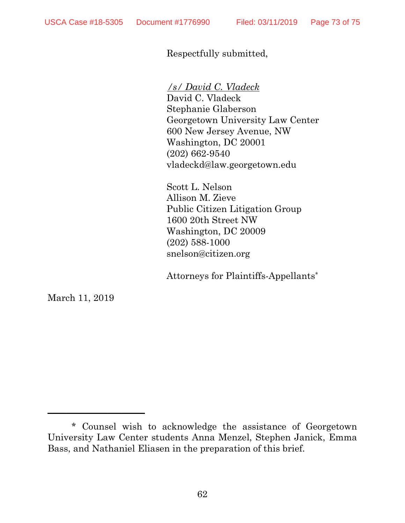Respectfully submitted,

*/s/ David C. Vladeck*

David C. Vladeck Stephanie Glaberson Georgetown University Law Center 600 New Jersey Avenue, NW Washington, DC 20001 (202) 662-9540 vladeckd@law.georgetown.edu

Scott L. Nelson Allison M. Zieve Public Citizen Litigation Group 1600 20th Street NW Washington, DC 20009 (202) 588-1000 snelson@citizen.org

Attorneys for Plaintiffs-Appellants\*

March 11, 2019

 $\overline{\phantom{a}}$  , where  $\overline{\phantom{a}}$ 

<sup>\*</sup> Counsel wish to acknowledge the assistance of Georgetown University Law Center students Anna Menzel, Stephen Janick, Emma Bass, and Nathaniel Eliasen in the preparation of this brief.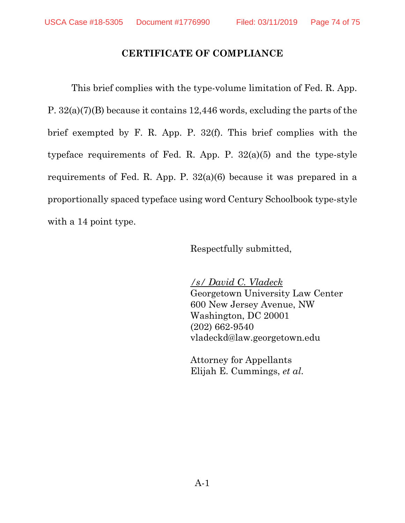## **CERTIFICATE OF COMPLIANCE**

This brief complies with the type-volume limitation of Fed. R. App. P. 32(a)(7)(B) because it contains 12,446 words, excluding the parts of the brief exempted by F. R. App. P. 32(f). This brief complies with the typeface requirements of Fed. R. App. P. 32(a)(5) and the type-style requirements of Fed. R. App. P. 32(a)(6) because it was prepared in a proportionally spaced typeface using word Century Schoolbook type-style with a 14 point type.

Respectfully submitted,

*/s/ David C. Vladeck*  Georgetown University Law Center 600 New Jersey Avenue, NW Washington, DC 20001 (202) 662-9540 vladeckd@law.georgetown.edu

Attorney for Appellants Elijah E. Cummings, *et al*.